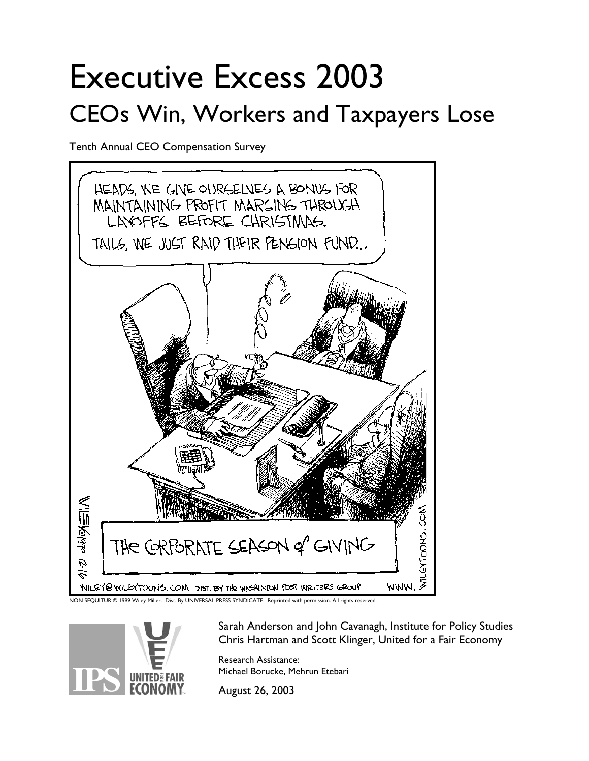# Executive Excess 2003 CEOs Win, Workers and Taxpayers Lose

Tenth Annual CEO Compensation Survey



NON SEQUITUR © 1999 Wiley Miller. Dist. By UNIVERSAL PRESS SYNDICATE. Reprinted with permission. All rights reserved.



Sarah Anderson and John Cavanagh, Institute for Policy Studies Chris Hartman and Scott Klinger, United for a Fair Economy

Research Assistance: Michael Borucke, Mehrun Etebari<br>August 26, 2003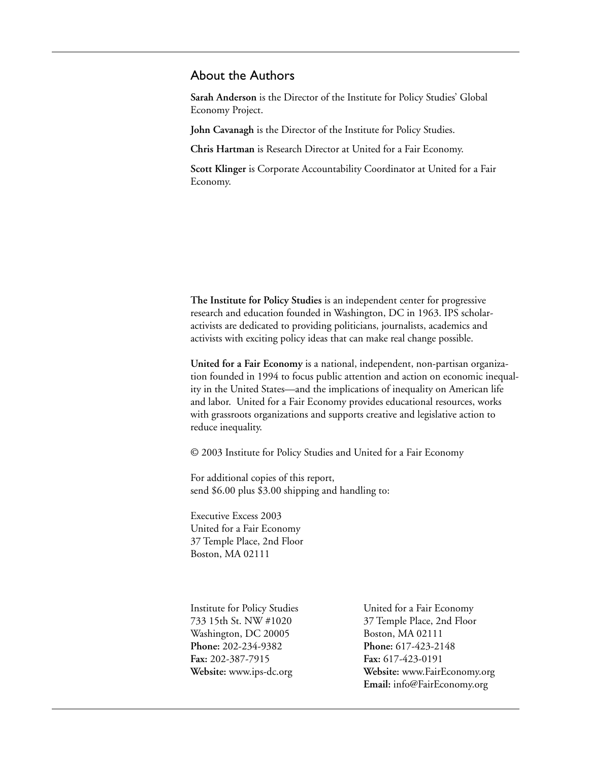### About the Authors

**Sarah Anderson** is the Director of the Institute for Policy Studies' Global Economy Project.

**John Cavanagh** is the Director of the Institute for Policy Studies.

**Chris Hartman** is Research Director at United for a Fair Economy.

**Scott Klinger** is Corporate Accountability Coordinator at United for a Fair Economy.

**The Institute for Policy Studies** is an independent center for progressive research and education founded in Washington, DC in 1963. IPS scholaractivists are dedicated to providing politicians, journalists, academics and activists with exciting policy ideas that can make real change possible.

**United for a Fair Economy** is a national, independent, non-partisan organization founded in 1994 to focus public attention and action on economic inequality in the United States—and the implications of inequality on American life and labor. United for a Fair Economy provides educational resources, works with grassroots organizations and supports creative and legislative action to reduce inequality.

© 2003 Institute for Policy Studies and United for a Fair Economy

For additional copies of this report, send \$6.00 plus \$3.00 shipping and handling to:

Executive Excess 2003 United for a Fair Economy 37 Temple Place, 2nd Floor Boston, MA 02111

Washington, DC 20005 Boston, MA 02111 **Phone:** 202-234-9382 **Phone:** 617-423-2148 **Fax:** 202-387-7915 **Fax:** 617-423-0191

Institute for Policy Studies United for a Fair Economy 733 15th St. NW #1020 37 Temple Place, 2nd Floor **Website:** www.ips-dc.org **Website:** www.FairEconomy.org **Email:** info@FairEconomy.org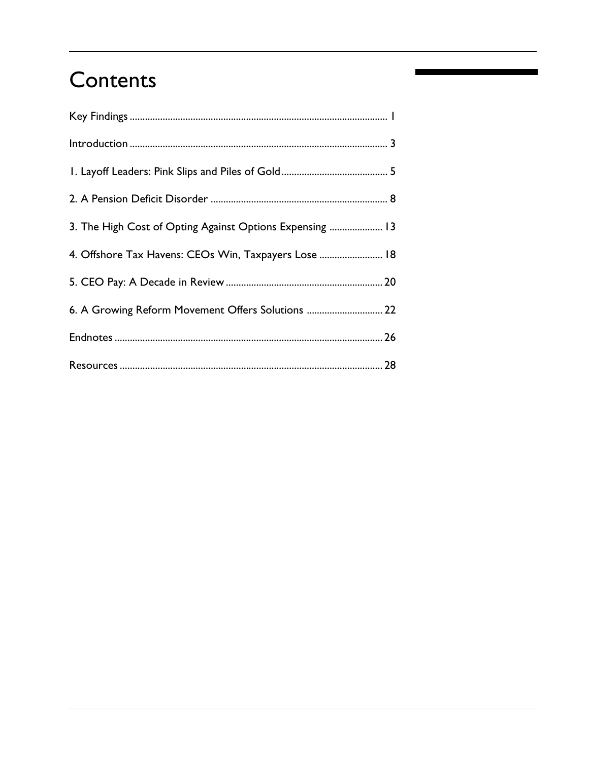## Contents

| 3. The High Cost of Opting Against Options Expensing  13 |  |
|----------------------------------------------------------|--|
| 4. Offshore Tax Havens: CEOs Win, Taxpayers Lose  18     |  |
|                                                          |  |
| 6. A Growing Reform Movement Offers Solutions  22        |  |
|                                                          |  |
|                                                          |  |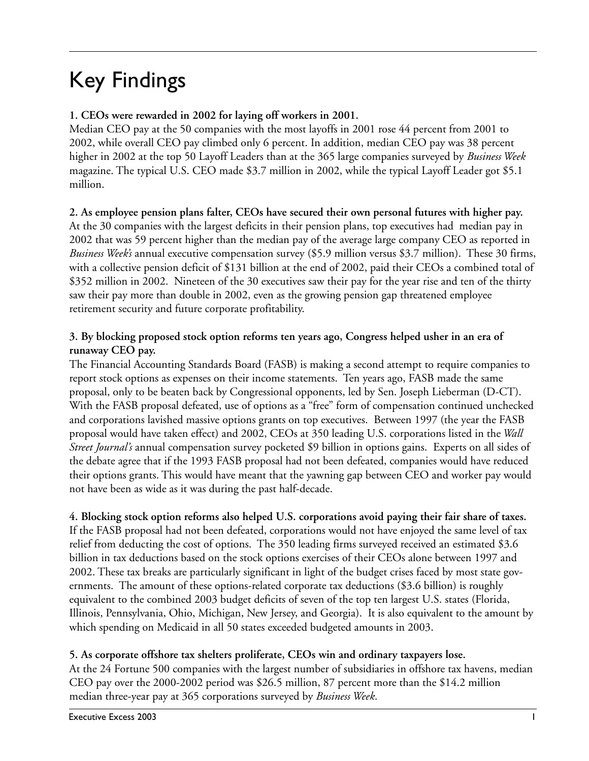## Key Findings

### **1. CEOs were rewarded in 2002 for laying off workers in 2001.**

Median CEO pay at the 50 companies with the most layoffs in 2001 rose 44 percent from 2001 to 2002, while overall CEO pay climbed only 6 percent. In addition, median CEO pay was 38 percent higher in 2002 at the top 50 Layoff Leaders than at the 365 large companies surveyed by *Business Week* magazine. The typical U.S. CEO made \$3.7 million in 2002, while the typical Layoff Leader got \$5.1 million.

### **2. As employee pension plans falter, CEOs have secured their own personal futures with higher pay.**

At the 30 companies with the largest deficits in their pension plans, top executives had median pay in 2002 that was 59 percent higher than the median pay of the average large company CEO as reported in *Business Week's* annual executive compensation survey (\$5.9 million versus \$3.7 million). These 30 firms, with a collective pension deficit of \$131 billion at the end of 2002, paid their CEOs a combined total of \$352 million in 2002. Nineteen of the 30 executives saw their pay for the year rise and ten of the thirty saw their pay more than double in 2002, even as the growing pension gap threatened employee retirement security and future corporate profitability.

### **3. By blocking proposed stock option reforms ten years ago, Congress helped usher in an era of runaway CEO pay.**

The Financial Accounting Standards Board (FASB) is making a second attempt to require companies to report stock options as expenses on their income statements. Ten years ago, FASB made the same proposal, only to be beaten back by Congressional opponents, led by Sen. Joseph Lieberman (D-CT). With the FASB proposal defeated, use of options as a "free" form of compensation continued unchecked and corporations lavished massive options grants on top executives. Between 1997 (the year the FASB proposal would have taken effect) and 2002, CEOs at 350 leading U.S. corporations listed in the *Wall Street Journal's* annual compensation survey pocketed \$9 billion in options gains. Experts on all sides of the debate agree that if the 1993 FASB proposal had not been defeated, companies would have reduced their options grants. This would have meant that the yawning gap between CEO and worker pay would not have been as wide as it was during the past half-decade.

### **4. Blocking stock option reforms also helped U.S. corporations avoid paying their fair share of taxes.**

If the FASB proposal had not been defeated, corporations would not have enjoyed the same level of tax relief from deducting the cost of options. The 350 leading firms surveyed received an estimated \$3.6 billion in tax deductions based on the stock options exercises of their CEOs alone between 1997 and 2002. These tax breaks are particularly significant in light of the budget crises faced by most state governments. The amount of these options-related corporate tax deductions (\$3.6 billion) is roughly equivalent to the combined 2003 budget deficits of seven of the top ten largest U.S. states (Florida, Illinois, Pennsylvania, Ohio, Michigan, New Jersey, and Georgia). It is also equivalent to the amount by which spending on Medicaid in all 50 states exceeded budgeted amounts in 2003.

### **5. As corporate offshore tax shelters proliferate, CEOs win and ordinary taxpayers lose.**

At the 24 Fortune 500 companies with the largest number of subsidiaries in offshore tax havens, median CEO pay over the 2000-2002 period was \$26.5 million, 87 percent more than the \$14.2 million median three-year pay at 365 corporations surveyed by *Business Week*.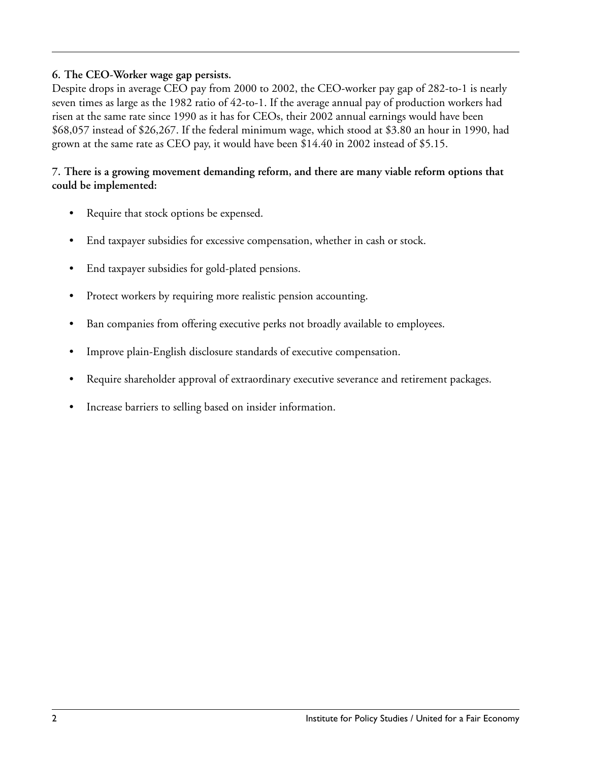### **6. The CEO-Worker wage gap persists.**

Despite drops in average CEO pay from 2000 to 2002, the CEO-worker pay gap of 282-to-1 is nearly seven times as large as the 1982 ratio of 42-to-1. If the average annual pay of production workers had risen at the same rate since 1990 as it has for CEOs, their 2002 annual earnings would have been \$68,057 instead of \$26,267. If the federal minimum wage, which stood at \$3.80 an hour in 1990, had grown at the same rate as CEO pay, it would have been \$14.40 in 2002 instead of \$5.15.

### **7. There is a growing movement demanding reform, and there are many viable reform options that could be implemented:**

- Require that stock options be expensed.
- End taxpayer subsidies for excessive compensation, whether in cash or stock.
- End taxpayer subsidies for gold-plated pensions.
- Protect workers by requiring more realistic pension accounting.
- Ban companies from offering executive perks not broadly available to employees.
- Improve plain-English disclosure standards of executive compensation.
- Require shareholder approval of extraordinary executive severance and retirement packages.
- Increase barriers to selling based on insider information.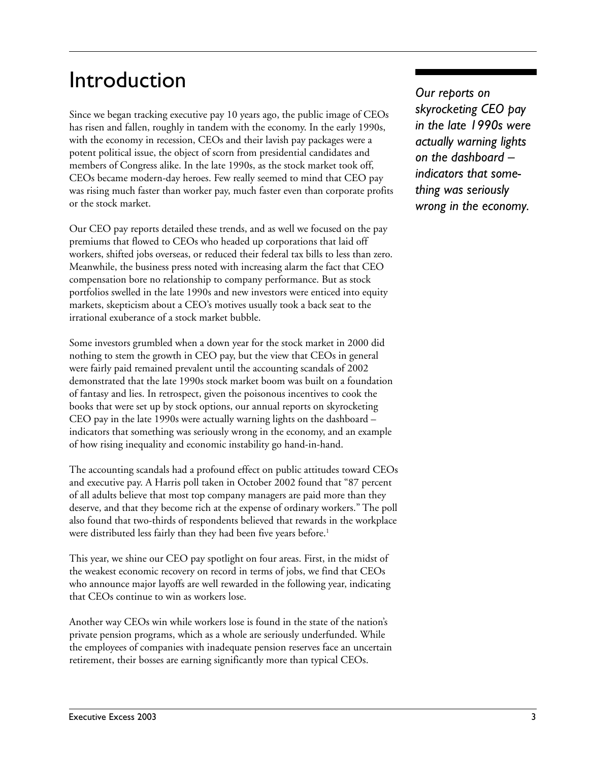## Introduction

Since we began tracking executive pay 10 years ago, the public image of CEOs has risen and fallen, roughly in tandem with the economy. In the early 1990s, with the economy in recession, CEOs and their lavish pay packages were a potent political issue, the object of scorn from presidential candidates and members of Congress alike. In the late 1990s, as the stock market took off, CEOs became modern-day heroes. Few really seemed to mind that CEO pay was rising much faster than worker pay, much faster even than corporate profits or the stock market.

Our CEO pay reports detailed these trends, and as well we focused on the pay premiums that flowed to CEOs who headed up corporations that laid off workers, shifted jobs overseas, or reduced their federal tax bills to less than zero. Meanwhile, the business press noted with increasing alarm the fact that CEO compensation bore no relationship to company performance. But as stock portfolios swelled in the late 1990s and new investors were enticed into equity markets, skepticism about a CEO's motives usually took a back seat to the irrational exuberance of a stock market bubble.

Some investors grumbled when a down year for the stock market in 2000 did nothing to stem the growth in CEO pay, but the view that CEOs in general were fairly paid remained prevalent until the accounting scandals of 2002 demonstrated that the late 1990s stock market boom was built on a foundation of fantasy and lies. In retrospect, given the poisonous incentives to cook the books that were set up by stock options, our annual reports on skyrocketing CEO pay in the late 1990s were actually warning lights on the dashboard – indicators that something was seriously wrong in the economy, and an example of how rising inequality and economic instability go hand-in-hand.

The accounting scandals had a profound effect on public attitudes toward CEOs and executive pay. A Harris poll taken in October 2002 found that "87 percent of all adults believe that most top company managers are paid more than they deserve, and that they become rich at the expense of ordinary workers." The poll also found that two-thirds of respondents believed that rewards in the workplace were distributed less fairly than they had been five years before.<sup>1</sup>

This year, we shine our CEO pay spotlight on four areas. First, in the midst of the weakest economic recovery on record in terms of jobs, we find that CEOs who announce major layoffs are well rewarded in the following year, indicating that CEOs continue to win as workers lose.

Another way CEOs win while workers lose is found in the state of the nation's private pension programs, which as a whole are seriously underfunded. While the employees of companies with inadequate pension reserves face an uncertain retirement, their bosses are earning significantly more than typical CEOs.

*Our reports on skyrocketing CEO pay in the late 1990s were actually warning lights on the dashboard – indicators that something was seriously wrong in the economy.*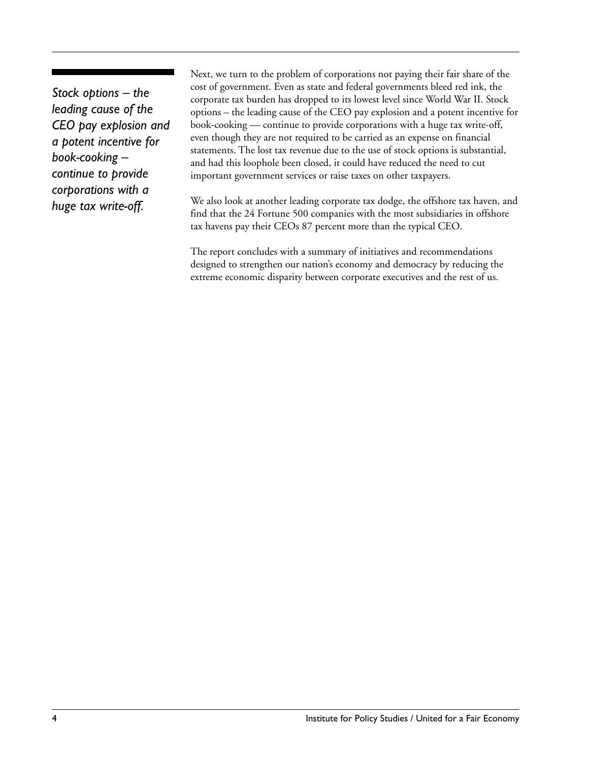*Stock options – the leading cause of the CEO pay explosion and a potent incentive for book-cooking – continue to provide corporations with a huge tax write-off.*

Next, we turn to the problem of corporations not paying their fair share of the cost of government. Even as state and federal governments bleed red ink, the corporate tax burden has dropped to its lowest level since World War II. Stock options – the leading cause of the CEO pay explosion and a potent incentive for book-cooking — continue to provide corporations with a huge tax write-off, even though they are not required to be carried as an expense on financial statements. The lost tax revenue due to the use of stock options is substantial, and had this loophole been closed, it could have reduced the need to cut important government services or raise taxes on other taxpayers.

We also look at another leading corporate tax dodge, the offshore tax haven, and find that the 24 Fortune 500 companies with the most subsidiaries in offshore tax havens pay their CEOs 87 percent more than the typical CEO.

The report concludes with a summary of initiatives and recommendations designed to strengthen our nation's economy and democracy by reducing the extreme economic disparity between corporate executives and the rest of us.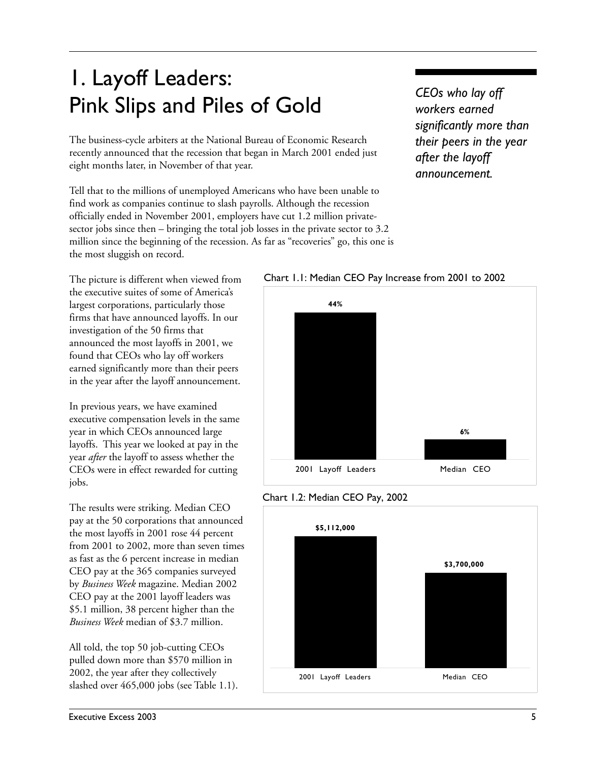## 1. Layoff Leaders: Pink Slips and Piles of Gold

The business-cycle arbiters at the National Bureau of Economic Research recently announced that the recession that began in March 2001 ended just eight months later, in November of that year.

Tell that to the millions of unemployed Americans who have been unable to find work as companies continue to slash payrolls. Although the recession officially ended in November 2001, employers have cut 1.2 million privatesector jobs since then – bringing the total job losses in the private sector to 3.2 million since the beginning of the recession. As far as "recoveries" go, this one is the most sluggish on record.

*CEOs who lay off workers earned significantly more than their peers in the year after the layoff announcement.*

The picture is different when viewed from the executive suites of some of America's largest corporations, particularly those firms that have announced layoffs. In our investigation of the 50 firms that announced the most layoffs in 2001, we found that CEOs who lay off workers earned significantly more than their peers in the year after the layoff announcement.

In previous years, we have examined executive compensation levels in the same year in which CEOs announced large layoffs. This year we looked at pay in the year *after* the layoff to assess whether the CEOs were in effect rewarded for cutting jobs.

The results were striking. Median CEO pay at the 50 corporations that announced the most layoffs in 2001 rose 44 percent from 2001 to 2002, more than seven times as fast as the 6 percent increase in median CEO pay at the 365 companies surveyed by *Business Week* magazine. Median 2002 CEO pay at the 2001 layoff leaders was \$5.1 million, 38 percent higher than the *Business Week* median of \$3.7 million.

All told, the top 50 job-cutting CEOs pulled down more than \$570 million in 2002, the year after they collectively slashed over 465,000 jobs (see Table 1.1).







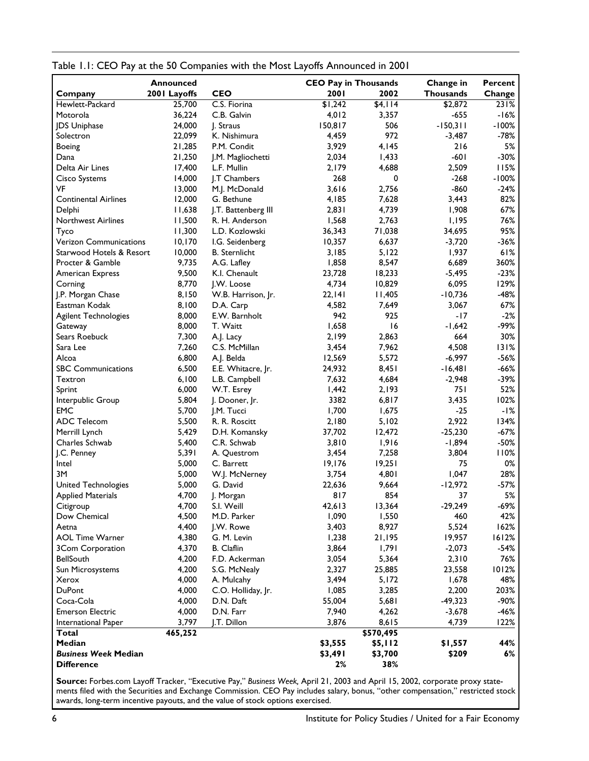|                               | Announced    |                              | <b>CEO Pay in Thousands</b> |                | Change in        | Percent |
|-------------------------------|--------------|------------------------------|-----------------------------|----------------|------------------|---------|
| Company                       | 2001 Layoffs | <b>CEO</b>                   | 2001                        | 2002           | <b>Thousands</b> | Change  |
| Hewlett-Packard               | 25,700       | C.S. Fiorina                 | \$1,242                     | \$4,114        | \$2,872          | 231%    |
| Motorola                      | 36,224       | C.B. Galvin                  | 4,012                       | 3,357          | $-655$           | $-16%$  |
| JDS Uniphase                  | 24,000       | J. Straus                    | 150,817                     | 506            | $-150,311$       | $-100%$ |
| Solectron                     | 22,099       | K. Nishimura                 | 4,459                       | 972            | $-3,487$         | $-78%$  |
| Boeing                        | 21,285       | P.M. Condit                  | 3,929                       | 4,145          | 216              | 5%      |
| Dana                          | 21,250       | J.M. Magliochetti            | 2,034                       | 1,433          | $-601$           | $-30%$  |
| Delta Air Lines               | 17,400       | L.F. Mullin                  | 2,179                       | 4,688          | 2,509            | 115%    |
| Cisco Systems                 | 14,000       | J.T Chambers                 | 268                         | 0              | $-268$           | $-100%$ |
| VF                            | 13,000       | M.J. McDonald                | 3,616                       | 2,756          | $-860$           | $-24%$  |
| <b>Continental Airlines</b>   | 12,000       | G. Bethune                   | 4,185                       | 7,628          | 3,443            | 82%     |
| Delphi                        | 11,638       | J.T. Battenberg III          | 2,831                       | 4,739          | 1,908            | 67%     |
| <b>Northwest Airlines</b>     | 11,500       | R. H. Anderson               | 1,568                       | 2,763          | 1,195            | 76%     |
| Tyco                          | 11,300       | L.D. Kozlowski               | 36,343                      | 71,038         | 34,695           | 95%     |
| <b>Verizon Communications</b> | 10, 170      | I.G. Seidenberg              | 10,357                      | 6,637          | $-3,720$         | $-36%$  |
| Starwood Hotels & Resort      | 10,000       | <b>B.</b> Sternlicht         | 3,185                       | 5,122          | 1,937            | 61%     |
| Procter & Gamble              | 9,735        |                              |                             | 8,547          | 6,689            | 360%    |
|                               | 9,500        | A.G. Lafley<br>K.I. Chenault | 1,858<br>23,728             |                |                  | $-23%$  |
| American Express              |              |                              |                             | 18,233         | $-5,495$         |         |
| Corning                       | 8,770        | J.W. Loose                   | 4,734                       | 10,829         | 6,095            | 129%    |
| J.P. Morgan Chase             | 8,150        | W.B. Harrison, Jr.           | 22,141                      | 11,405         | $-10,736$        | $-48%$  |
| Eastman Kodak                 | 8,100        | D.A. Carp                    | 4,582                       | 7,649          | 3,067            | 67%     |
| Agilent Technologies          | 8,000        | E.W. Barnholt                | 942                         | 925            | $-17$            | $-2%$   |
| Gateway                       | 8,000        | T. Waitt                     | 1,658                       | 16             | $-1,642$         | -99%    |
| Sears Roebuck                 | 7,300        | A.J. Lacy                    | 2,199                       | 2,863          | 664              | 30%     |
| Sara Lee                      | 7,260        | C.S. McMillan                | 3,454                       | 7,962          | 4,508            | 131%    |
| Alcoa                         | 6,800        | A.J. Belda                   | 12,569                      | 5,572          | $-6,997$         | $-56%$  |
| <b>SBC Communications</b>     | 6,500        | E.E. Whitacre, Jr.           | 24,932                      | 8,451          | $-16,481$        | $-66%$  |
| Textron                       | 6,100        | L.B. Campbell                | 7,632                       | 4,684          | $-2,948$         | -39%    |
| Sprint                        | 6,000        | W.T. Esrey                   | 1,442                       | 2,193          | 751              | 52%     |
| Interpublic Group             | 5,804        | J. Dooner, Jr.               | 3382                        | 6,817          | 3,435            | 102%    |
| <b>EMC</b>                    | 5,700        | J.M. Tucci                   | 1,700                       | 1,675          | $-25$            | -1%     |
| <b>ADC Telecom</b>            | 5,500        | R. R. Roscitt                | 2,180                       | 5,102          | 2,922            | 134%    |
| Merrill Lynch                 | 5,429        | D.H. Komansky                | 37,702                      | 12,472         | $-25,230$        | $-67%$  |
| Charles Schwab                | 5,400        | C.R. Schwab                  | 3,810                       | 1,916          | $-1,894$         | $-50%$  |
| J.C. Penney                   | 5,391        | A. Questrom                  | 3,454                       | 7,258          | 3,804            | 110%    |
| Intel                         | 5,000        | C. Barrett                   | 19,176                      | 19,251         | 75               | 0%      |
| 3M                            | 5,000        | W.J. McNerney                | 3,754                       | 4,801          | 1,047            | 28%     |
| United Technologies           | 5,000        | G. David                     | 22,636                      | 9,664          | $-12,972$        | $-57%$  |
| <b>Applied Materials</b>      | 4,700        | J. Morgan                    | 817                         | 854            | 37               | 5%      |
| Citigroup                     | 4,700        | S.I. Weill                   | 42,613                      | 13,364         | $-29,249$        | $-69%$  |
| Dow Chemical                  | 4,500        | M.D. Parker                  | 1,090                       | 1,550          | 460              | 42%     |
| Aetna                         | 4,400        | J.W. Rowe                    | 3,403                       | 8,927          | 5,524            | 162%    |
| <b>AOL Time Warner</b>        | 4,380        | G. M. Levin                  | 1,238                       | 21,195         | 19,957           | 1612%   |
| 3Com Corporation              | 4,370        | <b>B.</b> Claflin            | 3,864                       | 1,791          | $-2,073$         | -54%    |
| BellSouth                     | 4,200        | F.D. Ackerman                | 3,054                       | 5,364          | 2,310            | 76%     |
| Sun Microsystems              | 4,200        | S.G. McNealy                 | 2,327                       | 25,885         | 23,558           | 1012%   |
| Xerox                         | 4,000        | A. Mulcahy                   | 3,494                       | 5,172          | 1,678            | 48%     |
| DuPont                        | 4,000        | C.O. Holliday, Jr.           | 1,085                       | 3,285          | 2,200            | 203%    |
| Coca-Cola                     | 4,000        | D.N. Daft                    | 55,004                      | 5,681          | $-49,323$        | -90%    |
| <b>Emerson Electric</b>       | 4,000        | D.N. Farr                    | 7,940                       |                | $-3,678$         | -46%    |
| International Paper           | 3,797        | J.T. Dillon                  | 3,876                       | 4,262<br>8,615 | 4,739            | 122%    |
| Total                         | 465,252      |                              |                             | \$570,495      |                  |         |
|                               |              |                              |                             |                |                  |         |
| Median                        |              |                              | \$3,555                     | \$5,112        | \$1,557          | 44%     |
| <b>Business Week Median</b>   |              |                              | \$3,491                     | \$3,700        | \$209            | 6%      |
| <b>Difference</b>             |              |                              | 2%                          | 38%            |                  |         |

#### Table 1.1: CEO Pay at the 50 Companies with the Most Layoffs Announced in 2001

**Source:** Forbes.com Layoff Tracker, "Executive Pay," *Business Week,* April 21, 2003 and April 15, 2002, corporate proxy statements filed with the Securities and Exchange Commission. CEO Pay includes salary, bonus, "other compensation," restricted stock awards, long-term incentive payouts, and the value of stock options exercised.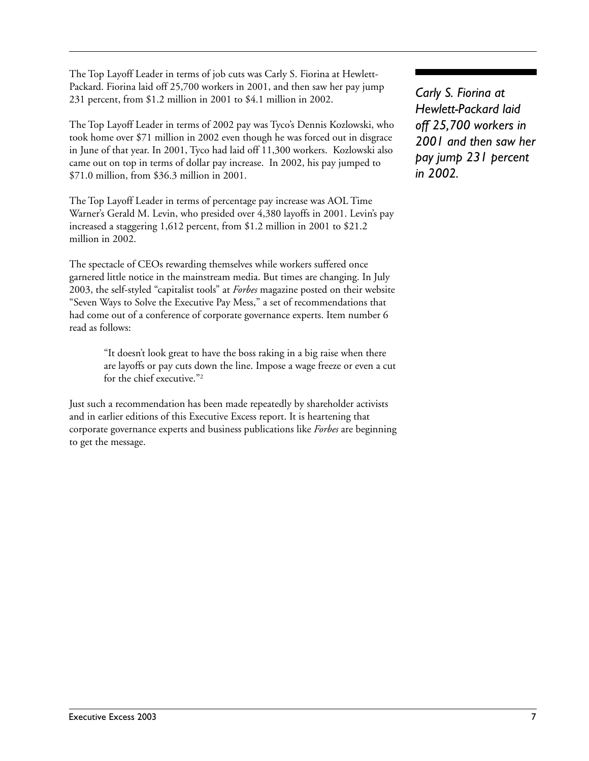The Top Layoff Leader in terms of job cuts was Carly S. Fiorina at Hewlett-Packard. Fiorina laid off 25,700 workers in 2001, and then saw her pay jump 231 percent, from \$1.2 million in 2001 to \$4.1 million in 2002.

The Top Layoff Leader in terms of 2002 pay was Tyco's Dennis Kozlowski, who took home over \$71 million in 2002 even though he was forced out in disgrace in June of that year. In 2001, Tyco had laid off 11,300 workers. Kozlowski also came out on top in terms of dollar pay increase. In 2002, his pay jumped to \$71.0 million, from \$36.3 million in 2001.

The Top Layoff Leader in terms of percentage pay increase was AOL Time Warner's Gerald M. Levin, who presided over 4,380 layoffs in 2001. Levin's pay increased a staggering 1,612 percent, from \$1.2 million in 2001 to \$21.2 million in 2002.

The spectacle of CEOs rewarding themselves while workers suffered once garnered little notice in the mainstream media. But times are changing. In July 2003, the self-styled "capitalist tools" at *Forbes* magazine posted on their website "Seven Ways to Solve the Executive Pay Mess," a set of recommendations that had come out of a conference of corporate governance experts. Item number 6 read as follows:

> "It doesn't look great to have the boss raking in a big raise when there are layoffs or pay cuts down the line. Impose a wage freeze or even a cut for the chief executive."2

Just such a recommendation has been made repeatedly by shareholder activists and in earlier editions of this Executive Excess report. It is heartening that corporate governance experts and business publications like *Forbes* are beginning to get the message.

*Carly S. Fiorina at Hewlett-Packard laid off 25,700 workers in 2001 and then saw her pay jump 231 percent in 2002.*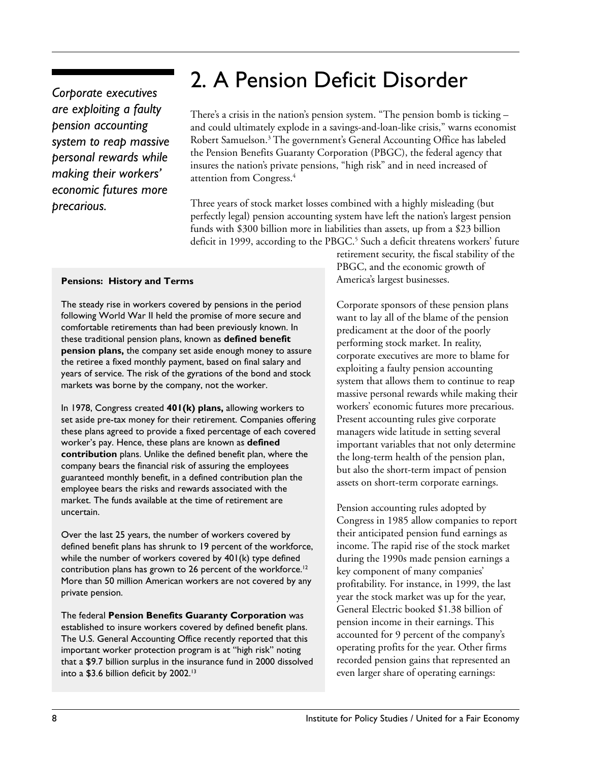## *Corporate executives are exploiting a faulty pension accounting system to reap massive personal rewards while making their workers' economic futures more precarious.*

## 2. A Pension Deficit Disorder

There's a crisis in the nation's pension system. "The pension bomb is ticking – and could ultimately explode in a savings-and-loan-like crisis," warns economist Robert Samuelson.3 The government's General Accounting Office has labeled the Pension Benefits Guaranty Corporation (PBGC), the federal agency that insures the nation's private pensions, "high risk" and in need increased of attention from Congress.4

Three years of stock market losses combined with a highly misleading (but perfectly legal) pension accounting system have left the nation's largest pension funds with \$300 billion more in liabilities than assets, up from a \$23 billion deficit in 1999, according to the PBGC.<sup>5</sup> Such a deficit threatens workers' future

#### **Pensions: History and Terms**

The steady rise in workers covered by pensions in the period following World War II held the promise of more secure and comfortable retirements than had been previously known. In these traditional pension plans, known as **defined benefit pension plans,** the company set aside enough money to assure the retiree a fixed monthly payment, based on final salary and years of service. The risk of the gyrations of the bond and stock markets was borne by the company, not the worker.

In 1978, Congress created **401(k) plans,** allowing workers to set aside pre-tax money for their retirement. Companies offering these plans agreed to provide a fixed percentage of each covered worker's pay. Hence, these plans are known as **defined contribution** plans. Unlike the defined benefit plan, where the company bears the financial risk of assuring the employees guaranteed monthly benefit, in a defined contribution plan the employee bears the risks and rewards associated with the market. The funds available at the time of retirement are uncertain.

Over the last 25 years, the number of workers covered by defined benefit plans has shrunk to 19 percent of the workforce, while the number of workers covered by 401(k) type defined contribution plans has grown to 26 percent of the workforce.<sup>12</sup> More than 50 million American workers are not covered by any private pension.

The federal **Pension Benefits Guaranty Corporation** was established to insure workers covered by defined benefit plans. The U.S. General Accounting Office recently reported that this important worker protection program is at "high risk" noting that a \$9.7 billion surplus in the insurance fund in 2000 dissolved into a \$3.6 billion deficit by 2002.<sup>13</sup>

retirement security, the fiscal stability of the PBGC, and the economic growth of America's largest businesses.

Corporate sponsors of these pension plans want to lay all of the blame of the pension predicament at the door of the poorly performing stock market. In reality, corporate executives are more to blame for exploiting a faulty pension accounting system that allows them to continue to reap massive personal rewards while making their workers' economic futures more precarious. Present accounting rules give corporate managers wide latitude in setting several important variables that not only determine the long-term health of the pension plan, but also the short-term impact of pension assets on short-term corporate earnings.

Pension accounting rules adopted by Congress in 1985 allow companies to report their anticipated pension fund earnings as income. The rapid rise of the stock market during the 1990s made pension earnings a key component of many companies' profitability. For instance, in 1999, the last year the stock market was up for the year, General Electric booked \$1.38 billion of pension income in their earnings. This accounted for 9 percent of the company's operating profits for the year. Other firms recorded pension gains that represented an even larger share of operating earnings: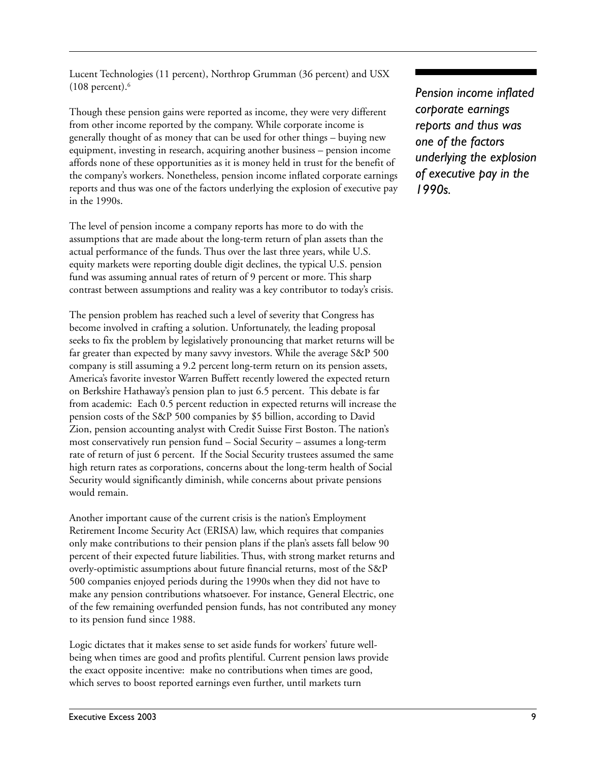Lucent Technologies (11 percent), Northrop Grumman (36 percent) and USX  $(108$  percent).<sup>6</sup>

Though these pension gains were reported as income, they were very different from other income reported by the company. While corporate income is generally thought of as money that can be used for other things – buying new equipment, investing in research, acquiring another business – pension income affords none of these opportunities as it is money held in trust for the benefit of the company's workers. Nonetheless, pension income inflated corporate earnings reports and thus was one of the factors underlying the explosion of executive pay in the 1990s.

The level of pension income a company reports has more to do with the assumptions that are made about the long-term return of plan assets than the actual performance of the funds. Thus over the last three years, while U.S. equity markets were reporting double digit declines, the typical U.S. pension fund was assuming annual rates of return of 9 percent or more. This sharp contrast between assumptions and reality was a key contributor to today's crisis.

The pension problem has reached such a level of severity that Congress has become involved in crafting a solution. Unfortunately, the leading proposal seeks to fix the problem by legislatively pronouncing that market returns will be far greater than expected by many savvy investors. While the average S&P 500 company is still assuming a 9.2 percent long-term return on its pension assets, America's favorite investor Warren Buffett recently lowered the expected return on Berkshire Hathaway's pension plan to just 6.5 percent. This debate is far from academic: Each 0.5 percent reduction in expected returns will increase the pension costs of the S&P 500 companies by \$5 billion, according to David Zion, pension accounting analyst with Credit Suisse First Boston. The nation's most conservatively run pension fund – Social Security – assumes a long-term rate of return of just 6 percent. If the Social Security trustees assumed the same high return rates as corporations, concerns about the long-term health of Social Security would significantly diminish, while concerns about private pensions would remain.

Another important cause of the current crisis is the nation's Employment Retirement Income Security Act (ERISA) law, which requires that companies only make contributions to their pension plans if the plan's assets fall below 90 percent of their expected future liabilities. Thus, with strong market returns and overly-optimistic assumptions about future financial returns, most of the S&P 500 companies enjoyed periods during the 1990s when they did not have to make any pension contributions whatsoever. For instance, General Electric, one of the few remaining overfunded pension funds, has not contributed any money to its pension fund since 1988.

Logic dictates that it makes sense to set aside funds for workers' future wellbeing when times are good and profits plentiful. Current pension laws provide the exact opposite incentive: make no contributions when times are good, which serves to boost reported earnings even further, until markets turn

*Pension income inflated corporate earnings reports and thus was one of the factors underlying the explosion of executive pay in the 1990s.*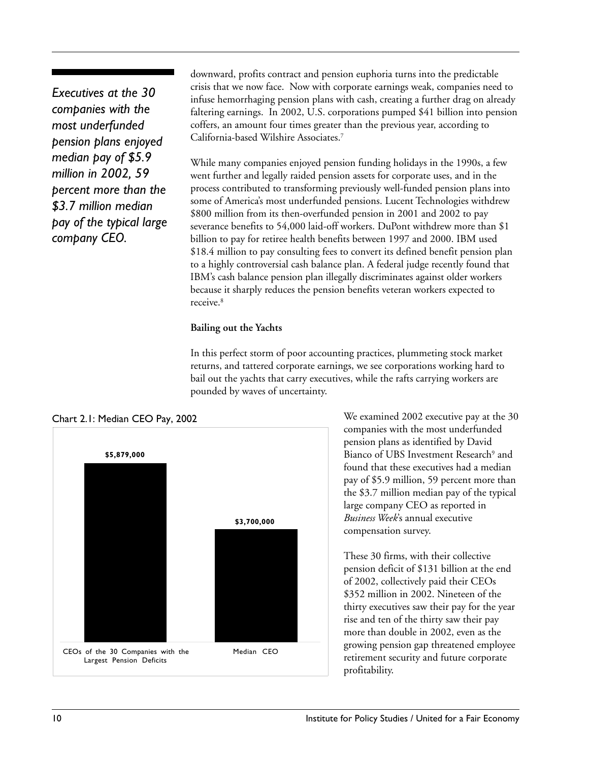*Executives at the 30 companies with the most underfunded pension plans enjoyed median pay of \$5.9 million in 2002, 59 percent more than the \$3.7 million median pay of the typical large company CEO.*

downward, profits contract and pension euphoria turns into the predictable crisis that we now face. Now with corporate earnings weak, companies need to infuse hemorrhaging pension plans with cash, creating a further drag on already faltering earnings. In 2002, U.S. corporations pumped \$41 billion into pension coffers, an amount four times greater than the previous year, according to California-based Wilshire Associates.7

While many companies enjoyed pension funding holidays in the 1990s, a few went further and legally raided pension assets for corporate uses, and in the process contributed to transforming previously well-funded pension plans into some of America's most underfunded pensions. Lucent Technologies withdrew \$800 million from its then-overfunded pension in 2001 and 2002 to pay severance benefits to 54,000 laid-off workers. DuPont withdrew more than \$1 billion to pay for retiree health benefits between 1997 and 2000. IBM used \$18.4 million to pay consulting fees to convert its defined benefit pension plan to a highly controversial cash balance plan. A federal judge recently found that IBM's cash balance pension plan illegally discriminates against older workers because it sharply reduces the pension benefits veteran workers expected to receive. 8

#### **Bailing out the Yachts**

In this perfect storm of poor accounting practices, plummeting stock market returns, and tattered corporate earnings, we see corporations working hard to bail out the yachts that carry executives, while the rafts carrying workers are pounded by waves of uncertainty.



We examined 2002 executive pay at the 30 companies with the most underfunded pension plans as identified by David Bianco of UBS Investment Research<sup>9</sup> and found that these executives had a median pay of \$5.9 million, 59 percent more than the \$3.7 million median pay of the typical large company CEO as reported in *Business Week*'s annual executive compensation survey.

These 30 firms, with their collective pension deficit of \$131 billion at the end of 2002, collectively paid their CEOs \$352 million in 2002. Nineteen of the thirty executives saw their pay for the year rise and ten of the thirty saw their pay more than double in 2002, even as the growing pension gap threatened employee retirement security and future corporate profitability.

#### Chart 2.1: Median CEO Pay, 2002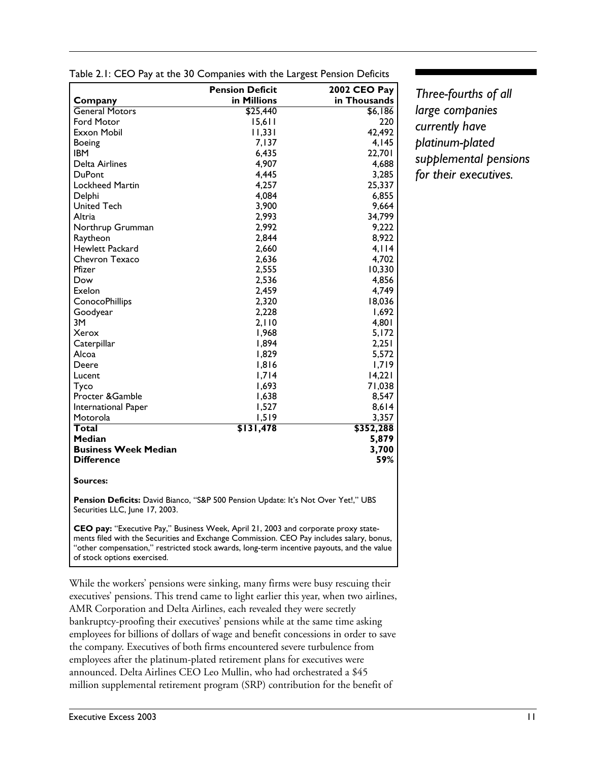|                                                                                                                                                                                                                                                                             | <b>Pension Deficit</b> | <b>2002 CEO Pay</b> |  |
|-----------------------------------------------------------------------------------------------------------------------------------------------------------------------------------------------------------------------------------------------------------------------------|------------------------|---------------------|--|
| Company                                                                                                                                                                                                                                                                     | in Millions            | in Thousands        |  |
| <b>General Motors</b>                                                                                                                                                                                                                                                       | \$25,440               | \$6,186             |  |
| <b>Ford Motor</b>                                                                                                                                                                                                                                                           | 15,611                 | 220                 |  |
| Exxon Mobil                                                                                                                                                                                                                                                                 | 11,331                 | 42,492              |  |
| Boeing                                                                                                                                                                                                                                                                      | 7,137                  | 4,145               |  |
| <b>IBM</b>                                                                                                                                                                                                                                                                  | 6,435                  | 22,701              |  |
| Delta Airlines                                                                                                                                                                                                                                                              | 4,907                  | 4,688               |  |
| <b>DuPont</b>                                                                                                                                                                                                                                                               | 4,445                  | 3,285               |  |
| Lockheed Martin                                                                                                                                                                                                                                                             | 4,257                  | 25,337              |  |
| Delphi                                                                                                                                                                                                                                                                      | 4,084                  | 6,855               |  |
| <b>United Tech</b>                                                                                                                                                                                                                                                          | 3,900                  | 9,664               |  |
| Altria                                                                                                                                                                                                                                                                      | 2,993                  | 34,799              |  |
| Northrup Grumman                                                                                                                                                                                                                                                            | 2.992                  | 9,222               |  |
| Raytheon                                                                                                                                                                                                                                                                    | 2,844                  | 8,922               |  |
| Hewlett Packard                                                                                                                                                                                                                                                             | 2,660                  | 4,114               |  |
| Chevron Texaco                                                                                                                                                                                                                                                              | 2,636                  | 4,702               |  |
| Pfizer                                                                                                                                                                                                                                                                      | 2,555                  | 10,330              |  |
| Dow                                                                                                                                                                                                                                                                         | 2,536                  | 4,856               |  |
| Exelon                                                                                                                                                                                                                                                                      | 2,459                  | 4,749               |  |
| <b>ConocoPhillips</b>                                                                                                                                                                                                                                                       | 2,320                  | 18,036              |  |
| Goodyear                                                                                                                                                                                                                                                                    | 2,228                  | 1,692               |  |
| 3M                                                                                                                                                                                                                                                                          | 2,110                  | 4,801               |  |
| Xerox                                                                                                                                                                                                                                                                       | 1,968                  | 5,172               |  |
| Caterpillar                                                                                                                                                                                                                                                                 | 1,894                  | 2,251               |  |
| Alcoa                                                                                                                                                                                                                                                                       | 1,829                  | 5,572               |  |
| Deere                                                                                                                                                                                                                                                                       | 1,816                  | 1,719               |  |
| Lucent                                                                                                                                                                                                                                                                      | 1,714                  | 14,221              |  |
| Tyco                                                                                                                                                                                                                                                                        | 1,693                  | 71,038              |  |
| Procter & Gamble                                                                                                                                                                                                                                                            | 1,638                  | 8,547               |  |
| International Paper                                                                                                                                                                                                                                                         | 1,527                  | 8,614               |  |
| Motorola                                                                                                                                                                                                                                                                    | 1,519                  | 3,357               |  |
| Total                                                                                                                                                                                                                                                                       | \$131,478              | \$352,288           |  |
| <b>Median</b>                                                                                                                                                                                                                                                               |                        | 5,879               |  |
| <b>Business Week Median</b>                                                                                                                                                                                                                                                 |                        | 3,700               |  |
| <b>Difference</b>                                                                                                                                                                                                                                                           |                        | 59%                 |  |
|                                                                                                                                                                                                                                                                             |                        |                     |  |
| Sources:                                                                                                                                                                                                                                                                    |                        |                     |  |
| Pension Deficits: David Bianco, "S&P 500 Pension Update: It's Not Over Yet!," UBS<br>Securities LLC, June 17, 2003.                                                                                                                                                         |                        |                     |  |
| CEO pay: "Executive Pay," Business Week, April 21, 2003 and corporate proxy state-<br>ments filed with the Securities and Exchange Commission. CEO Pay includes salary, bonus,<br>"other compensation," restricted stock awards, long-term incentive payouts, and the value |                        |                     |  |

Table 2.1: CEO Pay at the 30 Companies with the Largest Pension Deficits

*Three-fourths of all large companies currently have platinum-plated supplemental pensions for their executives.*

While the workers' pensions were sinking, many firms were busy rescuing their executives' pensions. This trend came to light earlier this year, when two airlines, AMR Corporation and Delta Airlines, each revealed they were secretly bankruptcy-proofing their executives' pensions while at the same time asking employees for billions of dollars of wage and benefit concessions in order to save the company. Executives of both firms encountered severe turbulence from employees after the platinum-plated retirement plans for executives were announced. Delta Airlines CEO Leo Mullin, who had orchestrated a \$45 million supplemental retirement program (SRP) contribution for the benefit of

of stock options exercised.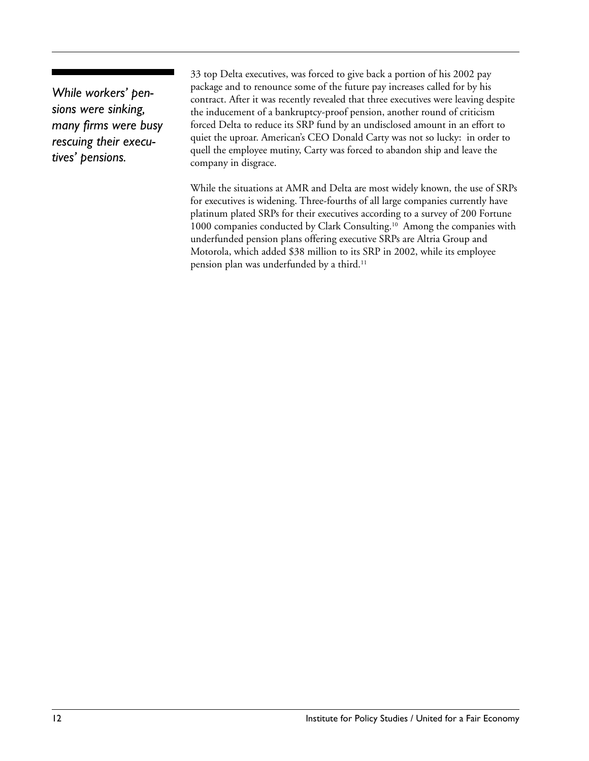*While workers' pensions were sinking, many firms were busy rescuing their executives' pensions.*

33 top Delta executives, was forced to give back a portion of his 2002 pay package and to renounce some of the future pay increases called for by his contract. After it was recently revealed that three executives were leaving despite the inducement of a bankruptcy-proof pension, another round of criticism forced Delta to reduce its SRP fund by an undisclosed amount in an effort to quiet the uproar. American's CEO Donald Carty was not so lucky: in order to quell the employee mutiny, Carty was forced to abandon ship and leave the company in disgrace.

While the situations at AMR and Delta are most widely known, the use of SRPs for executives is widening. Three-fourths of all large companies currently have platinum plated SRPs for their executives according to a survey of 200 Fortune 1000 companies conducted by Clark Consulting.<sup>10</sup> Among the companies with underfunded pension plans offering executive SRPs are Altria Group and Motorola, which added \$38 million to its SRP in 2002, while its employee pension plan was underfunded by a third.<sup>11</sup>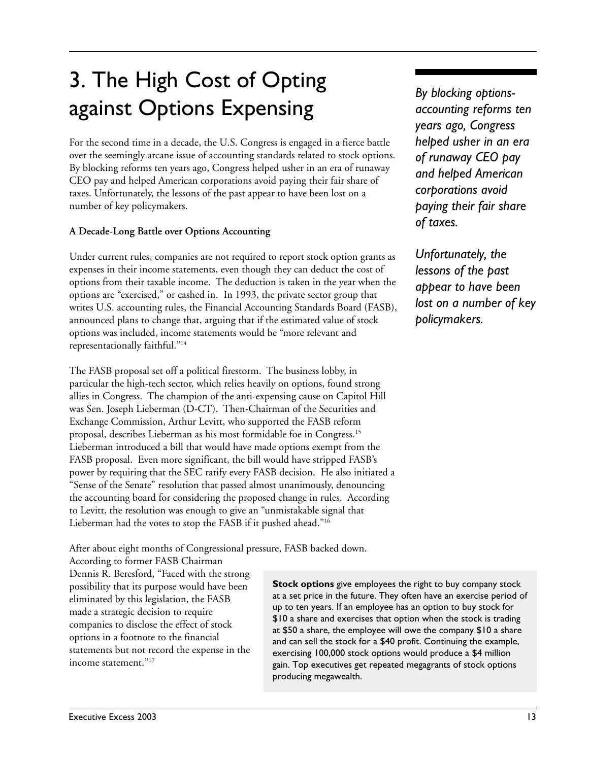## 3. The High Cost of Opting against Options Expensing

For the second time in a decade, the U.S. Congress is engaged in a fierce battle over the seemingly arcane issue of accounting standards related to stock options. By blocking reforms ten years ago, Congress helped usher in an era of runaway CEO pay and helped American corporations avoid paying their fair share of taxes. Unfortunately, the lessons of the past appear to have been lost on a number of key policymakers.

#### **A Decade-Long Battle over Options Accounting**

Under current rules, companies are not required to report stock option grants as expenses in their income statements, even though they can deduct the cost of options from their taxable income. The deduction is taken in the year when the options are "exercised," or cashed in. In 1993, the private sector group that writes U.S. accounting rules, the Financial Accounting Standards Board (FASB), announced plans to change that, arguing that if the estimated value of stock options was included, income statements would be "more relevant and representationally faithful."14

The FASB proposal set off a political firestorm. The business lobby, in particular the high-tech sector, which relies heavily on options, found strong allies in Congress. The champion of the anti-expensing cause on Capitol Hill was Sen. Joseph Lieberman (D-CT). Then-Chairman of the Securities and Exchange Commission, Arthur Levitt, who supported the FASB reform proposal, describes Lieberman as his most formidable foe in Congress.15 Lieberman introduced a bill that would have made options exempt from the FASB proposal. Even more significant, the bill would have stripped FASB's power by requiring that the SEC ratify every FASB decision. He also initiated a "Sense of the Senate" resolution that passed almost unanimously, denouncing the accounting board for considering the proposed change in rules. According to Levitt, the resolution was enough to give an "unmistakable signal that Lieberman had the votes to stop the FASB if it pushed ahead."16

*By blocking optionsaccounting reforms ten years ago, Congress helped usher in an era of runaway CEO pay and helped American corporations avoid paying their fair share of taxes.*

*Unfortunately, the lessons of the past appear to have been lost on a number of key policymakers.*

After about eight months of Congressional pressure, FASB backed down.

According to former FASB Chairman Dennis R. Beresford, "Faced with the strong possibility that its purpose would have been eliminated by this legislation, the FASB made a strategic decision to require companies to disclose the effect of stock options in a footnote to the financial statements but not record the expense in the income statement."17

**Stock options** give employees the right to buy company stock at a set price in the future. They often have an exercise period of up to ten years. If an employee has an option to buy stock for \$10 a share and exercises that option when the stock is trading at \$50 a share, the employee will owe the company \$10 a share and can sell the stock for a \$40 profit. Continuing the example, exercising 100,000 stock options would produce a \$4 million gain. Top executives get repeated megagrants of stock options producing megawealth.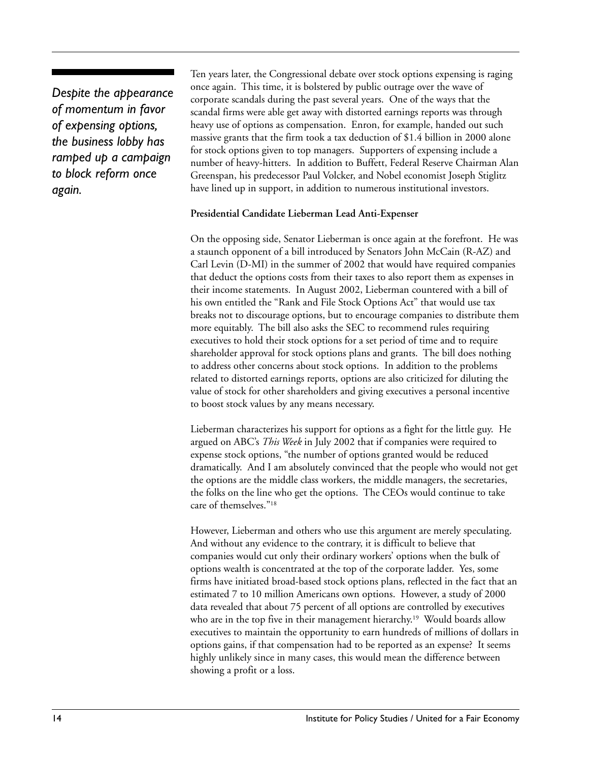*Despite the appearance of momentum in favor of expensing options, the business lobby has ramped up a campaign to block reform once again.*

Ten years later, the Congressional debate over stock options expensing is raging once again. This time, it is bolstered by public outrage over the wave of corporate scandals during the past several years. One of the ways that the scandal firms were able get away with distorted earnings reports was through heavy use of options as compensation. Enron, for example, handed out such massive grants that the firm took a tax deduction of \$1.4 billion in 2000 alone for stock options given to top managers. Supporters of expensing include a number of heavy-hitters. In addition to Buffett, Federal Reserve Chairman Alan Greenspan, his predecessor Paul Volcker, and Nobel economist Joseph Stiglitz have lined up in support, in addition to numerous institutional investors.

#### **Presidential Candidate Lieberman Lead Anti-Expenser**

On the opposing side, Senator Lieberman is once again at the forefront. He was a staunch opponent of a bill introduced by Senators John McCain (R-AZ) and Carl Levin (D-MI) in the summer of 2002 that would have required companies that deduct the options costs from their taxes to also report them as expenses in their income statements. In August 2002, Lieberman countered with a bill of his own entitled the "Rank and File Stock Options Act" that would use tax breaks not to discourage options, but to encourage companies to distribute them more equitably. The bill also asks the SEC to recommend rules requiring executives to hold their stock options for a set period of time and to require shareholder approval for stock options plans and grants. The bill does nothing to address other concerns about stock options. In addition to the problems related to distorted earnings reports, options are also criticized for diluting the value of stock for other shareholders and giving executives a personal incentive to boost stock values by any means necessary.

Lieberman characterizes his support for options as a fight for the little guy. He argued on ABC's *This Week* in July 2002 that if companies were required to expense stock options, "the number of options granted would be reduced dramatically. And I am absolutely convinced that the people who would not get the options are the middle class workers, the middle managers, the secretaries, the folks on the line who get the options. The CEOs would continue to take care of themselves."18

However, Lieberman and others who use this argument are merely speculating. And without any evidence to the contrary, it is difficult to believe that companies would cut only their ordinary workers' options when the bulk of options wealth is concentrated at the top of the corporate ladder. Yes, some firms have initiated broad-based stock options plans, reflected in the fact that an estimated 7 to 10 million Americans own options. However, a study of 2000 data revealed that about 75 percent of all options are controlled by executives who are in the top five in their management hierarchy. 19 Would boards allow executives to maintain the opportunity to earn hundreds of millions of dollars in options gains, if that compensation had to be reported as an expense? It seems highly unlikely since in many cases, this would mean the difference between showing a profit or a loss.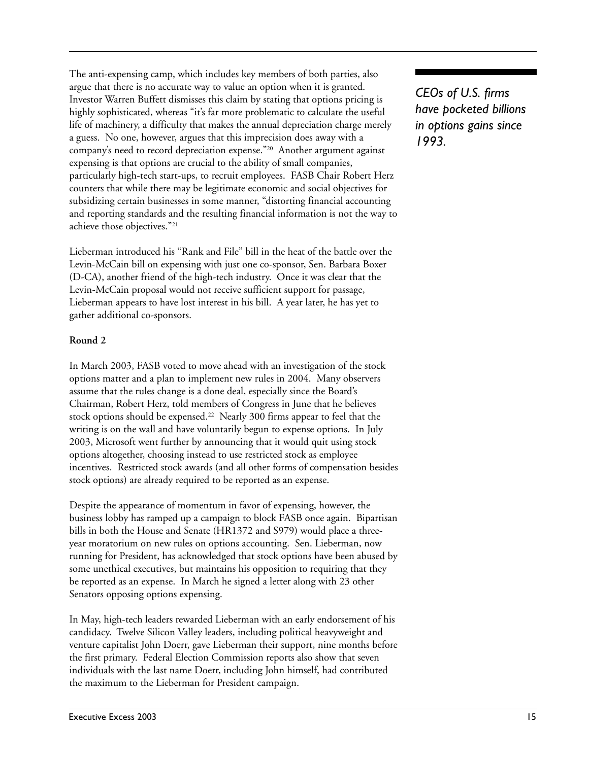The anti-expensing camp, which includes key members of both parties, also argue that there is no accurate way to value an option when it is granted. Investor Warren Buffett dismisses this claim by stating that options pricing is highly sophisticated, whereas "it's far more problematic to calculate the useful life of machinery, a difficulty that makes the annual depreciation charge merely a guess. No one, however, argues that this imprecision does away with a company's need to record depreciation expense."20 Another argument against expensing is that options are crucial to the ability of small companies, particularly high-tech start-ups, to recruit employees. FASB Chair Robert Herz counters that while there may be legitimate economic and social objectives for subsidizing certain businesses in some manner, "distorting financial accounting and reporting standards and the resulting financial information is not the way to achieve those objectives."21

Lieberman introduced his "Rank and File" bill in the heat of the battle over the Levin-McCain bill on expensing with just one co-sponsor, Sen. Barbara Boxer (D-CA), another friend of the high-tech industry. Once it was clear that the Levin-McCain proposal would not receive sufficient support for passage, Lieberman appears to have lost interest in his bill. A year later, he has yet to gather additional co-sponsors.

#### **Round 2**

In March 2003, FASB voted to move ahead with an investigation of the stock options matter and a plan to implement new rules in 2004. Many observers assume that the rules change is a done deal, especially since the Board's Chairman, Robert Herz, told members of Congress in June that he believes stock options should be expensed.<sup>22</sup> Nearly 300 firms appear to feel that the writing is on the wall and have voluntarily begun to expense options. In July 2003, Microsoft went further by announcing that it would quit using stock options altogether, choosing instead to use restricted stock as employee incentives. Restricted stock awards (and all other forms of compensation besides stock options) are already required to be reported as an expense.

Despite the appearance of momentum in favor of expensing, however, the business lobby has ramped up a campaign to block FASB once again. Bipartisan bills in both the House and Senate (HR1372 and S979) would place a threeyear moratorium on new rules on options accounting. Sen. Lieberman, now running for President, has acknowledged that stock options have been abused by some unethical executives, but maintains his opposition to requiring that they be reported as an expense. In March he signed a letter along with 23 other Senators opposing options expensing.

In May, high-tech leaders rewarded Lieberman with an early endorsement of his candidacy. Twelve Silicon Valley leaders, including political heavyweight and venture capitalist John Doerr, gave Lieberman their support, nine months before the first primary. Federal Election Commission reports also show that seven individuals with the last name Doerr, including John himself, had contributed the maximum to the Lieberman for President campaign.

*CEOs of U.S. firms have pocketed billions in options gains since 1993.*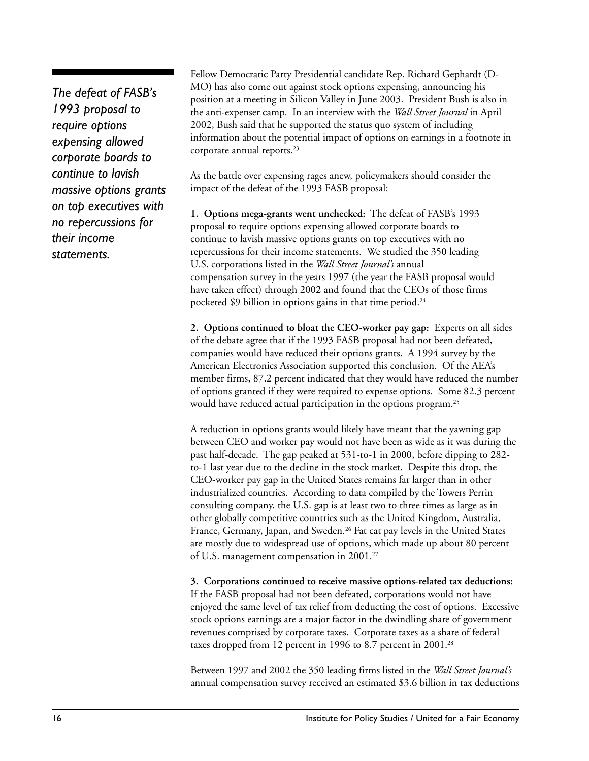*The defeat of FASB's 1993 proposal to require options expensing allowed corporate boards to continue to lavish massive options grants on top executives with no repercussions for their income statements.*

Fellow Democratic Party Presidential candidate Rep. Richard Gephardt (D-MO) has also come out against stock options expensing, announcing his position at a meeting in Silicon Valley in June 2003. President Bush is also in the anti-expenser camp. In an interview with the *Wall Street Journal* in April 2002, Bush said that he supported the status quo system of including information about the potential impact of options on earnings in a footnote in corporate annual reports.<sup>23</sup>

As the battle over expensing rages anew, policymakers should consider the impact of the defeat of the 1993 FASB proposal:

**1. Options mega-grants went unchecked:** The defeat of FASB's 1993 proposal to require options expensing allowed corporate boards to continue to lavish massive options grants on top executives with no repercussions for their income statements. We studied the 350 leading U.S. corporations listed in the *Wall Street Journal's* annual compensation survey in the years 1997 (the year the FASB proposal would have taken effect) through 2002 and found that the CEOs of those firms pocketed \$9 billion in options gains in that time period.<sup>24</sup>

**2. Options continued to bloat the CEO-worker pay gap:** Experts on all sides of the debate agree that if the 1993 FASB proposal had not been defeated, companies would have reduced their options grants. A 1994 survey by the American Electronics Association supported this conclusion. Of the AEA's member firms, 87.2 percent indicated that they would have reduced the number of options granted if they were required to expense options. Some 82.3 percent would have reduced actual participation in the options program.<sup>25</sup>

A reduction in options grants would likely have meant that the yawning gap between CEO and worker pay would not have been as wide as it was during the past half-decade. The gap peaked at 531-to-1 in 2000, before dipping to 282 to-1 last year due to the decline in the stock market. Despite this drop, the CEO-worker pay gap in the United States remains far larger than in other industrialized countries. According to data compiled by the Towers Perrin consulting company, the U.S. gap is at least two to three times as large as in other globally competitive countries such as the United Kingdom, Australia, France, Germany, Japan, and Sweden.<sup>26</sup> Fat cat pay levels in the United States are mostly due to widespread use of options, which made up about 80 percent of U.S. management compensation in 2001.27

**3. Corporations continued to receive massive options-related tax deductions:** If the FASB proposal had not been defeated, corporations would not have enjoyed the same level of tax relief from deducting the cost of options. Excessive stock options earnings are a major factor in the dwindling share of government revenues comprised by corporate taxes. Corporate taxes as a share of federal taxes dropped from 12 percent in 1996 to 8.7 percent in 2001.<sup>28</sup>

Between 1997 and 2002 the 350 leading firms listed in the *Wall Street Journal's* annual compensation survey received an estimated \$3.6 billion in tax deductions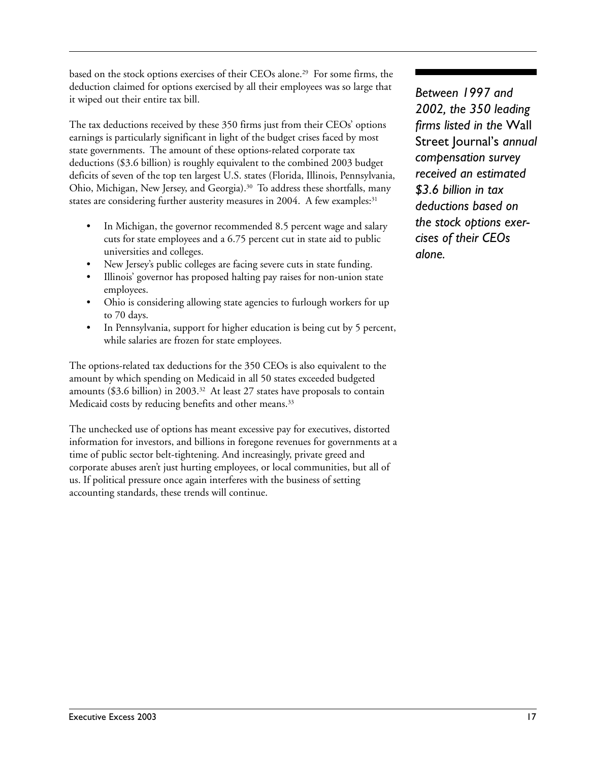based on the stock options exercises of their CEOs alone.29 For some firms, the deduction claimed for options exercised by all their employees was so large that it wiped out their entire tax bill.

The tax deductions received by these 350 firms just from their CEOs' options earnings is particularly significant in light of the budget crises faced by most state governments. The amount of these options-related corporate tax deductions (\$3.6 billion) is roughly equivalent to the combined 2003 budget deficits of seven of the top ten largest U.S. states (Florida, Illinois, Pennsylvania, Ohio, Michigan, New Jersey, and Georgia).<sup>30</sup> To address these shortfalls, many states are considering further austerity measures in 2004. A few examples:<sup>31</sup>

- In Michigan, the governor recommended 8.5 percent wage and salary cuts for state employees and a 6.75 percent cut in state aid to public universities and colleges.
- New Jersey's public colleges are facing severe cuts in state funding.
- Illinois' governor has proposed halting pay raises for non-union state employees.
- Ohio is considering allowing state agencies to furlough workers for up to 70 days.
- In Pennsylvania, support for higher education is being cut by 5 percent, while salaries are frozen for state employees.

The options-related tax deductions for the 350 CEOs is also equivalent to the amount by which spending on Medicaid in all 50 states exceeded budgeted amounts (\$3.6 billion) in 2003.<sup>32</sup> At least 27 states have proposals to contain Medicaid costs by reducing benefits and other means.<sup>33</sup>

The unchecked use of options has meant excessive pay for executives, distorted information for investors, and billions in foregone revenues for governments at a time of public sector belt-tightening. And increasingly, private greed and corporate abuses aren't just hurting employees, or local communities, but all of us. If political pressure once again interferes with the business of setting accounting standards, these trends will continue.

*Between 1997 and 2002, the 350 leading firms listed in the* Wall Street Journal's *annual compensation survey received an estimated \$3.6 billion in tax deductions based on the stock options exercises of their CEOs alone.*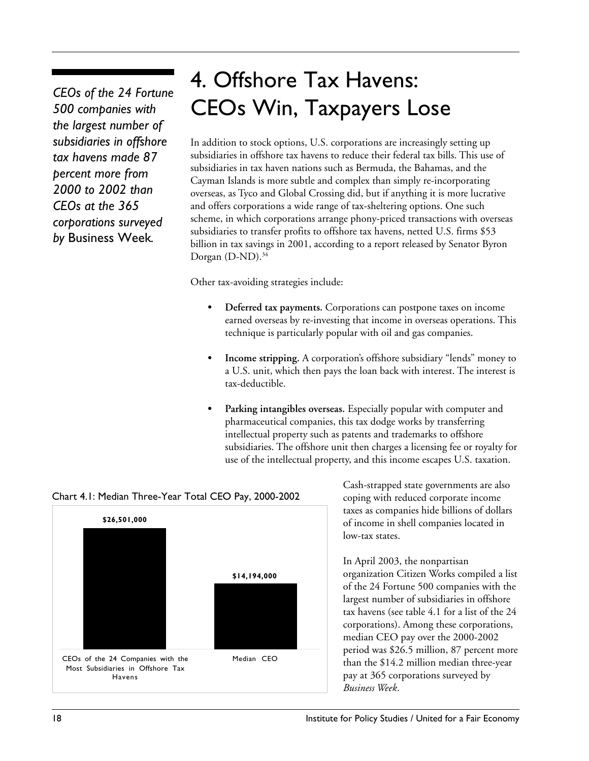*CEOs of the 24 Fortune 500 companies with the largest number of subsidiaries in offshore tax havens made 87 percent more from 2000 to 2002 than CEOs at the 365 corporations surveyed by* Business Week*.*

## 4. Offshore Tax Havens: CEOs Win, Taxpayers Lose

In addition to stock options, U.S. corporations are increasingly setting up subsidiaries in offshore tax havens to reduce their federal tax bills. This use of subsidiaries in tax haven nations such as Bermuda, the Bahamas, and the Cayman Islands is more subtle and complex than simply re-incorporating overseas, as Tyco and Global Crossing did, but if anything it is more lucrative and offers corporations a wide range of tax-sheltering options. One such scheme, in which corporations arrange phony-priced transactions with overseas subsidiaries to transfer profits to offshore tax havens, netted U.S. firms \$53 billion in tax savings in 2001, according to a report released by Senator Byron Dorgan  $(D-ND)$ .<sup>34</sup>

Other tax-avoiding strategies include:

- **• Deferred tax payments.** Corporations can postpone taxes on income earned overseas by re-investing that income in overseas operations. This technique is particularly popular with oil and gas companies.
- **• Income stripping.** A corporation's offshore subsidiary "lends" money to a U.S. unit, which then pays the loan back with interest. The interest is tax-deductible.
- **• Parking intangibles overseas.** Especially popular with computer and pharmaceutical companies, this tax dodge works by transferring intellectual property such as patents and trademarks to offshore subsidiaries. The offshore unit then charges a licensing fee or royalty for use of the intellectual property, and this income escapes U.S. taxation.



### Chart 4.1: Median Three-Year Total CEO Pay, 2000-2002

Cash-strapped state governments are also coping with reduced corporate income taxes as companies hide billions of dollars of income in shell companies located in low-tax states.

In April 2003, the nonpartisan organization Citizen Works compiled a list of the 24 Fortune 500 companies with the largest number of subsidiaries in offshore tax havens (see table 4.1 for a list of the 24 corporations). Among these corporations, median CEO pay over the 2000-2002 period was \$26.5 million, 87 percent more than the \$14.2 million median three-year pay at 365 corporations surveyed by *Business Week*.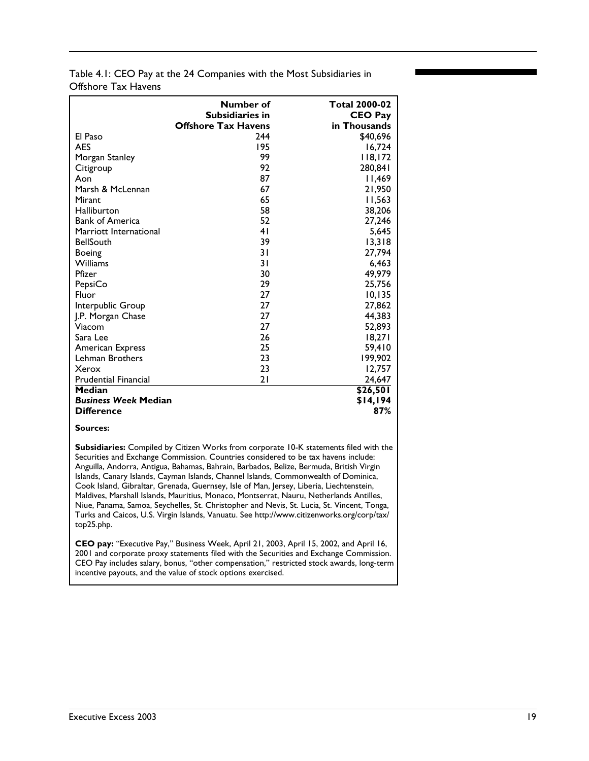| Table 4.1: CEO Pay at the 24 Companies with the Most Subsidiaries in |  |
|----------------------------------------------------------------------|--|
| Offshore Tax Havens                                                  |  |

|                             | Number of<br><b>Subsidiaries in</b><br><b>Offshore Tax Havens</b> | <b>Total 2000-02</b><br><b>CEO Pay</b><br>in Thousands |
|-----------------------------|-------------------------------------------------------------------|--------------------------------------------------------|
| El Paso                     | 244                                                               | \$40,696                                               |
| <b>AES</b>                  | 195                                                               | 16,724                                                 |
| Morgan Stanley              | 99                                                                | 118,172                                                |
| Citigroup                   | 92                                                                | 280.841                                                |
| Aon                         | 87                                                                | 11,469                                                 |
| Marsh & McLennan            | 67                                                                | 21,950                                                 |
| Mirant                      | 65                                                                | 11,563                                                 |
| Halliburton                 | 58                                                                | 38,206                                                 |
| <b>Bank of America</b>      | 52                                                                | 27,246                                                 |
| Marriott International      | 41                                                                | 5,645                                                  |
| <b>BellSouth</b>            | 39                                                                | 13,318                                                 |
| Boeing                      | 31                                                                | 27,794                                                 |
| <b>Williams</b>             | 31                                                                | 6.463                                                  |
| Pfizer                      | 30                                                                | 49,979                                                 |
| PepsiCo                     | 29                                                                | 25,756                                                 |
| Fluor                       | 27                                                                | 10, 135                                                |
| Interpublic Group           | 27                                                                | 27,862                                                 |
| J.P. Morgan Chase           | 27                                                                | 44,383                                                 |
| Viacom                      | 27                                                                | 52,893                                                 |
| Sara Lee                    | 26                                                                | 18,271                                                 |
| <b>American Express</b>     | 25                                                                | 59,410                                                 |
| Lehman Brothers             | 23                                                                | 199,902                                                |
| Xerox                       | 23                                                                | 12,757                                                 |
| <b>Prudential Financial</b> | 21                                                                | 24,647                                                 |
| Median                      |                                                                   | \$26,501                                               |
| <b>Business Week Median</b> |                                                                   | \$14,194                                               |
| <b>Difference</b>           |                                                                   | 87%                                                    |

#### **Sources:**

**Subsidiaries:** Compiled by Citizen Works from corporate 10-K statements filed with the Securities and Exchange Commission. Countries considered to be tax havens include: Anguilla, Andorra, Antigua, Bahamas, Bahrain, Barbados, Belize, Bermuda, British Virgin Islands, Canary Islands, Cayman Islands, Channel Islands, Commonwealth of Dominica, Cook Island, Gibraltar, Grenada, Guernsey, Isle of Man, Jersey, Liberia, Liechtenstein, Maldives, Marshall Islands, Mauritius, Monaco, Montserrat, Nauru, Netherlands Antilles, Niue, Panama, Samoa, Seychelles, St. Christopher and Nevis, St. Lucia, St. Vincent, Tonga, Turks and Caicos, U.S. Virgin Islands, Vanuatu. See http://www.citizenworks.org/corp/tax/ top25.php.

**CEO pay:** "Executive Pay," Business Week, April 21, 2003, April 15, 2002, and April 16, 2001 and corporate proxy statements filed with the Securities and Exchange Commission. CEO Pay includes salary, bonus, "other compensation," restricted stock awards, long-term incentive payouts, and the value of stock options exercised.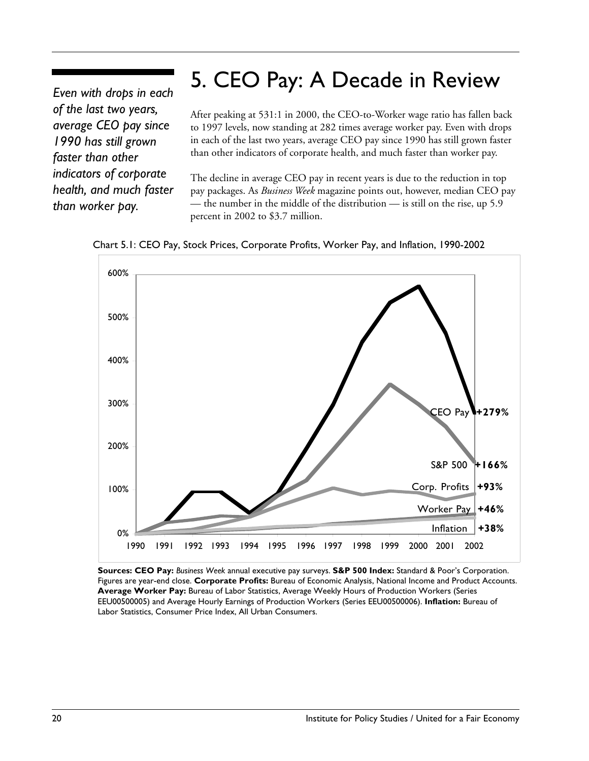## 5. CEO Pay: A Decade in Review

*Even with drops in each of the last two years, average CEO pay since 1990 has still grown faster than other indicators of corporate health, and much faster than worker pay.*

After peaking at 531:1 in 2000, the CEO-to-Worker wage ratio has fallen back to 1997 levels, now standing at 282 times average worker pay. Even with drops in each of the last two years, average CEO pay since 1990 has still grown faster than other indicators of corporate health, and much faster than worker pay.

The decline in average CEO pay in recent years is due to the reduction in top pay packages. As *Business Week* magazine points out, however, median CEO pay — the number in the middle of the distribution — is still on the rise, up 5.9 percent in 2002 to \$3.7 million.





**Sources: CEO Pay:** *Business Week* annual executive pay surveys. **S&P 500 Index:** Standard & Poor's Corporation. Figures are year-end close. **Corporate Profits:** Bureau of Economic Analysis, National Income and Product Accounts. **Average Worker Pay:** Bureau of Labor Statistics, Average Weekly Hours of Production Workers (Series EEU00500005) and Average Hourly Earnings of Production Workers (Series EEU00500006). **Inflation:** Bureau of Labor Statistics, Consumer Price Index, All Urban Consumers.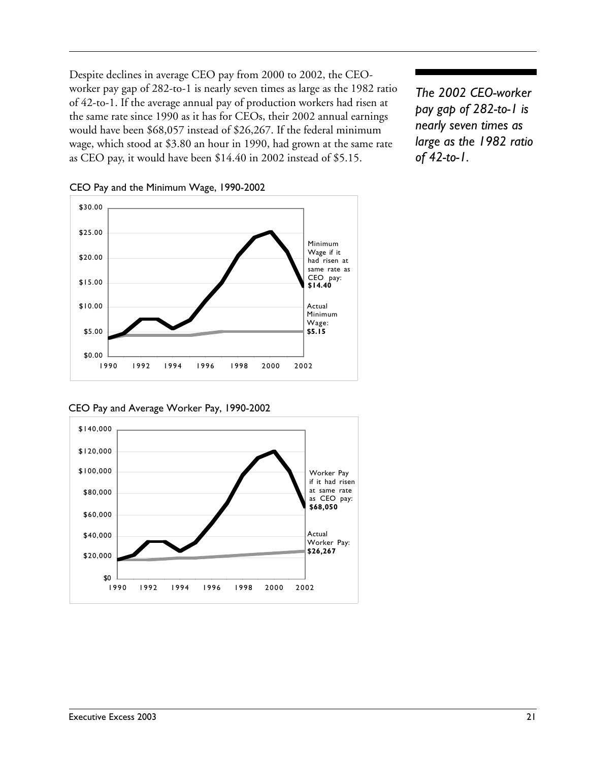Despite declines in average CEO pay from 2000 to 2002, the CEOworker pay gap of 282-to-1 is nearly seven times as large as the 1982 ratio of 42-to-1. If the average annual pay of production workers had risen at the same rate since 1990 as it has for CEOs, their 2002 annual earnings would have been \$68,057 instead of \$26,267. If the federal minimum wage, which stood at \$3.80 an hour in 1990, had grown at the same rate as CEO pay, it would have been \$14.40 in 2002 instead of \$5.15.

*The 2002 CEO-worker pay gap of 282-to-1 is nearly seven times as large as the 1982 ratio of 42-to-1.*



CEO Pay and the Minimum Wage, 1990-2002

CEO Pay and Average Worker Pay, 1990-2002

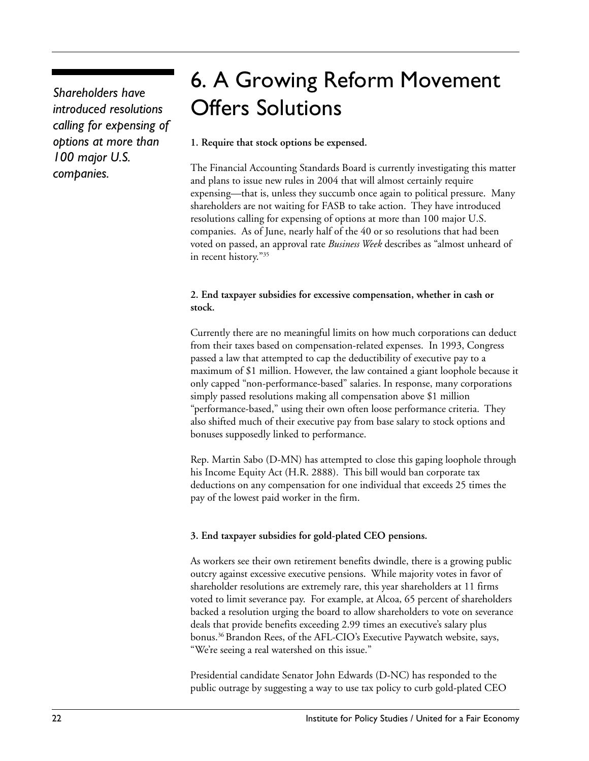*Shareholders have introduced resolutions calling for expensing of options at more than 100 major U.S. companies.*

## 6. A Growing Reform Movement Offers Solutions

#### **1. Require that stock options be expensed.**

The Financial Accounting Standards Board is currently investigating this matter and plans to issue new rules in 2004 that will almost certainly require expensing—that is, unless they succumb once again to political pressure. Many shareholders are not waiting for FASB to take action. They have introduced resolutions calling for expensing of options at more than 100 major U.S. companies. As of June, nearly half of the 40 or so resolutions that had been voted on passed, an approval rate *Business Week* describes as "almost unheard of in recent history."35

#### **2. End taxpayer subsidies for excessive compensation, whether in cash or stock.**

Currently there are no meaningful limits on how much corporations can deduct from their taxes based on compensation-related expenses. In 1993, Congress passed a law that attempted to cap the deductibility of executive pay to a maximum of \$1 million. However, the law contained a giant loophole because it only capped "non-performance-based" salaries. In response, many corporations simply passed resolutions making all compensation above \$1 million "performance-based," using their own often loose performance criteria. They also shifted much of their executive pay from base salary to stock options and bonuses supposedly linked to performance.

Rep. Martin Sabo (D-MN) has attempted to close this gaping loophole through his Income Equity Act (H.R. 2888). This bill would ban corporate tax deductions on any compensation for one individual that exceeds 25 times the pay of the lowest paid worker in the firm.

### **3. End taxpayer subsidies for gold-plated CEO pensions.**

As workers see their own retirement benefits dwindle, there is a growing public outcry against excessive executive pensions. While majority votes in favor of shareholder resolutions are extremely rare, this year shareholders at 11 firms voted to limit severance pay. For example, at Alcoa, 65 percent of shareholders backed a resolution urging the board to allow shareholders to vote on severance deals that provide benefits exceeding 2.99 times an executive's salary plus bonus.36 Brandon Rees, of the AFL-CIO's Executive Paywatch website, says, "We're seeing a real watershed on this issue."

Presidential candidate Senator John Edwards (D-NC) has responded to the public outrage by suggesting a way to use tax policy to curb gold-plated CEO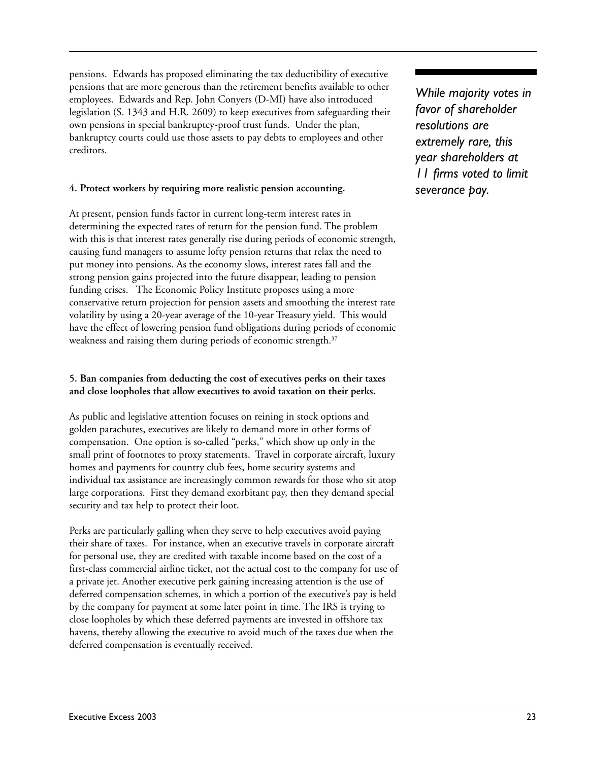pensions. Edwards has proposed eliminating the tax deductibility of executive pensions that are more generous than the retirement benefits available to other employees. Edwards and Rep. John Conyers (D-MI) have also introduced legislation (S. 1343 and H.R. 2609) to keep executives from safeguarding their own pensions in special bankruptcy-proof trust funds. Under the plan, bankruptcy courts could use those assets to pay debts to employees and other creditors.

#### **4. Protect workers by requiring more realistic pension accounting.**

At present, pension funds factor in current long-term interest rates in determining the expected rates of return for the pension fund. The problem with this is that interest rates generally rise during periods of economic strength, causing fund managers to assume lofty pension returns that relax the need to put money into pensions. As the economy slows, interest rates fall and the strong pension gains projected into the future disappear, leading to pension funding crises. The Economic Policy Institute proposes using a more conservative return projection for pension assets and smoothing the interest rate volatility by using a 20-year average of the 10-year Treasury yield. This would have the effect of lowering pension fund obligations during periods of economic weakness and raising them during periods of economic strength.<sup>37</sup>

#### **5. Ban companies from deducting the cost of executives perks on their taxes and close loopholes that allow executives to avoid taxation on their perks.**

As public and legislative attention focuses on reining in stock options and golden parachutes, executives are likely to demand more in other forms of compensation. One option is so-called "perks," which show up only in the small print of footnotes to proxy statements. Travel in corporate aircraft, luxury homes and payments for country club fees, home security systems and individual tax assistance are increasingly common rewards for those who sit atop large corporations. First they demand exorbitant pay, then they demand special security and tax help to protect their loot.

Perks are particularly galling when they serve to help executives avoid paying their share of taxes. For instance, when an executive travels in corporate aircraft for personal use, they are credited with taxable income based on the cost of a first-class commercial airline ticket, not the actual cost to the company for use of a private jet. Another executive perk gaining increasing attention is the use of deferred compensation schemes, in which a portion of the executive's pay is held by the company for payment at some later point in time. The IRS is trying to close loopholes by which these deferred payments are invested in offshore tax havens, thereby allowing the executive to avoid much of the taxes due when the deferred compensation is eventually received.

*While majority votes in favor of shareholder resolutions are extremely rare, this year shareholders at 11 firms voted to limit severance pay.*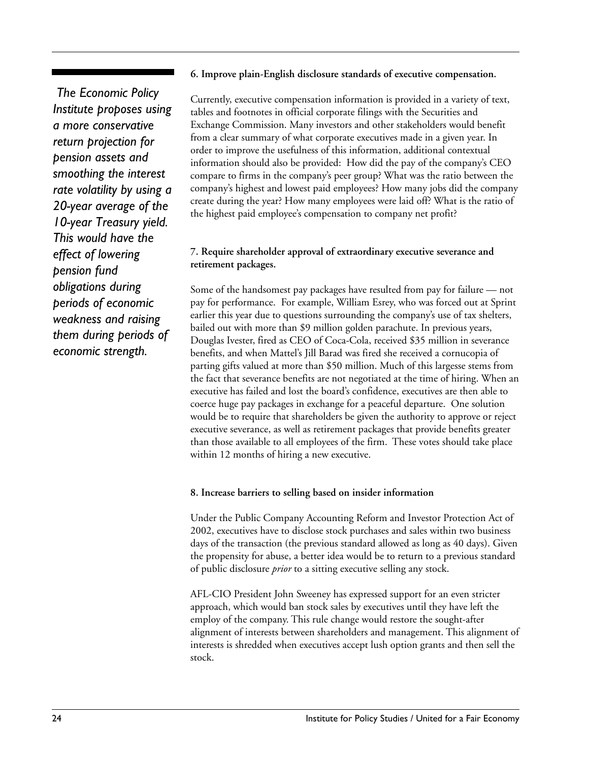#### **6. Improve plain-English disclosure standards of executive compensation.**

 *The Economic Policy Institute proposes using a more conservative return projection for pension assets and smoothing the interest rate volatility by using a 20-year average of the 10-year Treasury yield. This would have the effect of lowering pension fund obligations during periods of economic weakness and raising them during periods of economic strength.*

Currently, executive compensation information is provided in a variety of text, tables and footnotes in official corporate filings with the Securities and Exchange Commission. Many investors and other stakeholders would benefit from a clear summary of what corporate executives made in a given year. In order to improve the usefulness of this information, additional contextual information should also be provided: How did the pay of the company's CEO compare to firms in the company's peer group? What was the ratio between the company's highest and lowest paid employees? How many jobs did the company create during the year? How many employees were laid off? What is the ratio of the highest paid employee's compensation to company net profit?

#### **7. Require shareholder approval of extraordinary executive severance and retirement packages.**

Some of the handsomest pay packages have resulted from pay for failure — not pay for performance. For example, William Esrey, who was forced out at Sprint earlier this year due to questions surrounding the company's use of tax shelters, bailed out with more than \$9 million golden parachute. In previous years, Douglas Ivester, fired as CEO of Coca-Cola, received \$35 million in severance benefits, and when Mattel's Jill Barad was fired she received a cornucopia of parting gifts valued at more than \$50 million. Much of this largesse stems from the fact that severance benefits are not negotiated at the time of hiring. When an executive has failed and lost the board's confidence, executives are then able to coerce huge pay packages in exchange for a peaceful departure. One solution would be to require that shareholders be given the authority to approve or reject executive severance, as well as retirement packages that provide benefits greater than those available to all employees of the firm. These votes should take place within 12 months of hiring a new executive.

#### **8. Increase barriers to selling based on insider information**

Under the Public Company Accounting Reform and Investor Protection Act of 2002, executives have to disclose stock purchases and sales within two business days of the transaction (the previous standard allowed as long as 40 days). Given the propensity for abuse, a better idea would be to return to a previous standard of public disclosure *prior* to a sitting executive selling any stock.

AFL-CIO President John Sweeney has expressed support for an even stricter approach, which would ban stock sales by executives until they have left the employ of the company. This rule change would restore the sought-after alignment of interests between shareholders and management. This alignment of interests is shredded when executives accept lush option grants and then sell the stock.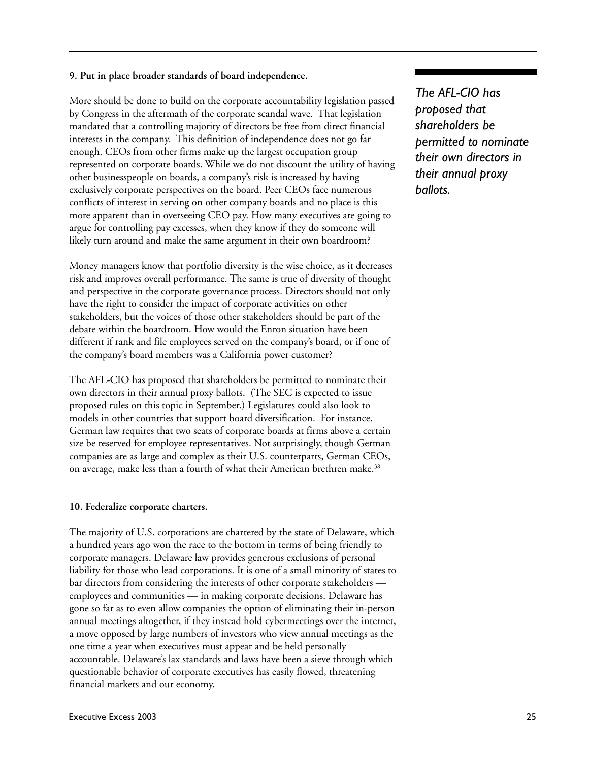#### **9. Put in place broader standards of board independence.**

More should be done to build on the corporate accountability legislation passed by Congress in the aftermath of the corporate scandal wave. That legislation mandated that a controlling majority of directors be free from direct financial interests in the company. This definition of independence does not go far enough. CEOs from other firms make up the largest occupation group represented on corporate boards. While we do not discount the utility of having other businesspeople on boards, a company's risk is increased by having exclusively corporate perspectives on the board. Peer CEOs face numerous conflicts of interest in serving on other company boards and no place is this more apparent than in overseeing CEO pay. How many executives are going to argue for controlling pay excesses, when they know if they do someone will likely turn around and make the same argument in their own boardroom?

Money managers know that portfolio diversity is the wise choice, as it decreases risk and improves overall performance. The same is true of diversity of thought and perspective in the corporate governance process. Directors should not only have the right to consider the impact of corporate activities on other stakeholders, but the voices of those other stakeholders should be part of the debate within the boardroom. How would the Enron situation have been different if rank and file employees served on the company's board, or if one of the company's board members was a California power customer?

The AFL-CIO has proposed that shareholders be permitted to nominate their own directors in their annual proxy ballots. (The SEC is expected to issue proposed rules on this topic in September.) Legislatures could also look to models in other countries that support board diversification. For instance, German law requires that two seats of corporate boards at firms above a certain size be reserved for employee representatives. Not surprisingly, though German companies are as large and complex as their U.S. counterparts, German CEOs, on average, make less than a fourth of what their American brethren make.<sup>38</sup>

#### **10. Federalize corporate charters.**

The majority of U.S. corporations are chartered by the state of Delaware, which a hundred years ago won the race to the bottom in terms of being friendly to corporate managers. Delaware law provides generous exclusions of personal liability for those who lead corporations. It is one of a small minority of states to bar directors from considering the interests of other corporate stakeholders employees and communities — in making corporate decisions. Delaware has gone so far as to even allow companies the option of eliminating their in-person annual meetings altogether, if they instead hold cybermeetings over the internet, a move opposed by large numbers of investors who view annual meetings as the one time a year when executives must appear and be held personally accountable. Delaware's lax standards and laws have been a sieve through which questionable behavior of corporate executives has easily flowed, threatening financial markets and our economy.

*The AFL-CIO has proposed that shareholders be permitted to nominate their own directors in their annual proxy ballots.*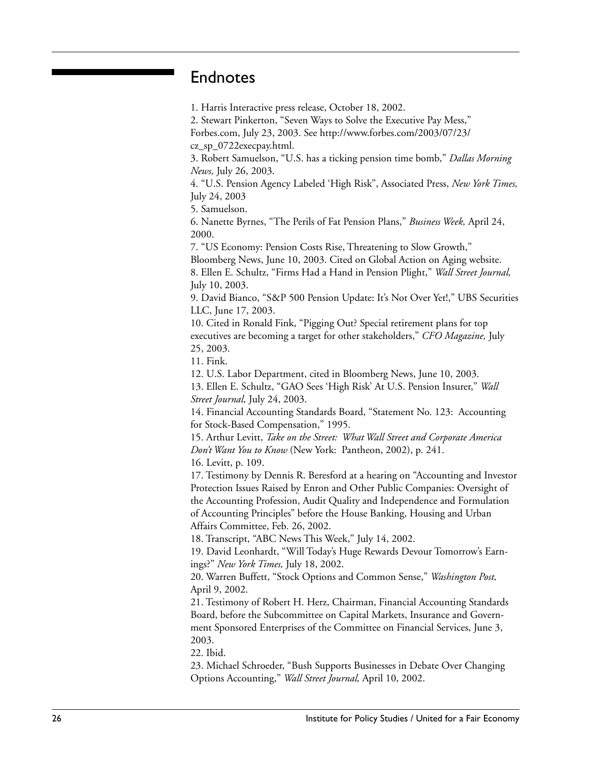## Endnotes

1. Harris Interactive press release, October 18, 2002.

2. Stewart Pinkerton, "Seven Ways to Solve the Executive Pay Mess,"

Forbes.com, July 23, 2003. See http://www.forbes.com/2003/07/23/ cz\_sp\_0722execpay.html.

3. Robert Samuelson, "U.S. has a ticking pension time bomb," *Dallas Morning News,* July 26, 2003.

4. "U.S. Pension Agency Labeled 'High Risk", Associated Press, *New York Times,* July 24, 2003

5. Samuelson.

6. Nanette Byrnes, "The Perils of Fat Pension Plans," *Business Week,* April 24, 2000.

7. "US Economy: Pension Costs Rise, Threatening to Slow Growth," Bloomberg News, June 10, 2003. Cited on Global Action on Aging website. 8. Ellen E. Schultz, "Firms Had a Hand in Pension Plight," *Wall Street Journal,* July 10, 2003.

9. David Bianco, "S&P 500 Pension Update: It's Not Over Yet!," UBS Securities LLC, June 17, 2003.

10. Cited in Ronald Fink, "Pigging Out? Special retirement plans for top executives are becoming a target for other stakeholders," *CFO Magazine,* July 25, 2003.

11. Fink.

12. U.S. Labor Department, cited in Bloomberg News, June 10, 2003.

13. Ellen E. Schultz, "GAO Sees 'High Risk' At U.S. Pension Insurer," *Wall Street Journal,* July 24, 2003.

14. Financial Accounting Standards Board, "Statement No. 123: Accounting for Stock-Based Compensation," 1995.

15. Arthur Levitt, *Take on the Street: What Wall Street and Corporate America Don't Want You to Know* (New York: Pantheon, 2002), p. 241.

16. Levitt, p. 109.

17. Testimony by Dennis R. Beresford at a hearing on "Accounting and Investor Protection Issues Raised by Enron and Other Public Companies: Oversight of the Accounting Profession, Audit Quality and Independence and Formulation of Accounting Principles" before the House Banking, Housing and Urban Affairs Committee, Feb. 26, 2002.

18. Transcript, "ABC News This Week," July 14, 2002.

19. David Leonhardt, "Will Today's Huge Rewards Devour Tomorrow's Earnings?" *New York Times,* July 18, 2002.

20. Warren Buffett, "Stock Options and Common Sense," *Washington Post,* April 9, 2002.

21. Testimony of Robert H. Herz, Chairman, Financial Accounting Standards Board, before the Subcommittee on Capital Markets, Insurance and Government Sponsored Enterprises of the Committee on Financial Services, June 3, 2003.

22. Ibid.

23. Michael Schroeder, "Bush Supports Businesses in Debate Over Changing Options Accounting," *Wall Street Journal,* April 10, 2002.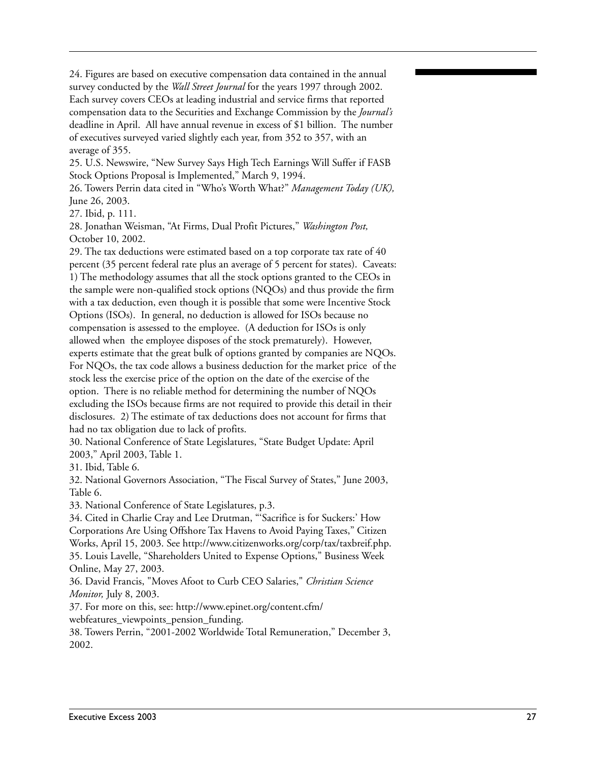24. Figures are based on executive compensation data contained in the annual survey conducted by the *Wall Street Journal* for the years 1997 through 2002. Each survey covers CEOs at leading industrial and service firms that reported compensation data to the Securities and Exchange Commission by the *Journal's* deadline in April. All have annual revenue in excess of \$1 billion. The number of executives surveyed varied slightly each year, from 352 to 357, with an average of 355.

25. U.S. Newswire, "New Survey Says High Tech Earnings Will Suffer if FASB Stock Options Proposal is Implemented," March 9, 1994.

26. Towers Perrin data cited in "Who's Worth What?" *Management Today (UK),* June 26, 2003.

27. Ibid, p. 111.

28. Jonathan Weisman, "At Firms, Dual Profit Pictures," *Washington Post,* October 10, 2002.

29. The tax deductions were estimated based on a top corporate tax rate of 40 percent (35 percent federal rate plus an average of 5 percent for states). Caveats: 1) The methodology assumes that all the stock options granted to the CEOs in the sample were non-qualified stock options (NQOs) and thus provide the firm with a tax deduction, even though it is possible that some were Incentive Stock Options (ISOs). In general, no deduction is allowed for ISOs because no compensation is assessed to the employee. (A deduction for ISOs is only allowed when the employee disposes of the stock prematurely). However, experts estimate that the great bulk of options granted by companies are NQOs. For NQOs, the tax code allows a business deduction for the market price of the stock less the exercise price of the option on the date of the exercise of the option. There is no reliable method for determining the number of NQOs excluding the ISOs because firms are not required to provide this detail in their disclosures. 2) The estimate of tax deductions does not account for firms that had no tax obligation due to lack of profits.

30. National Conference of State Legislatures, "State Budget Update: April 2003," April 2003, Table 1.

31. Ibid, Table 6.

32. National Governors Association, "The Fiscal Survey of States," June 2003, Table 6.

33. National Conference of State Legislatures, p.3.

34. Cited in Charlie Cray and Lee Drutman, "'Sacrifice is for Suckers:' How Corporations Are Using Offshore Tax Havens to Avoid Paying Taxes," Citizen Works, April 15, 2003. See http://www.citizenworks.org/corp/tax/taxbreif.php. 35. Louis Lavelle, "Shareholders United to Expense Options," Business Week Online, May 27, 2003.

36. David Francis, "Moves Afoot to Curb CEO Salaries," *Christian Science Monitor,* July 8, 2003.

37. For more on this, see: http://www.epinet.org/content.cfm/ webfeatures\_viewpoints\_pension\_funding.

38. Towers Perrin, "2001-2002 Worldwide Total Remuneration," December 3, 2002.